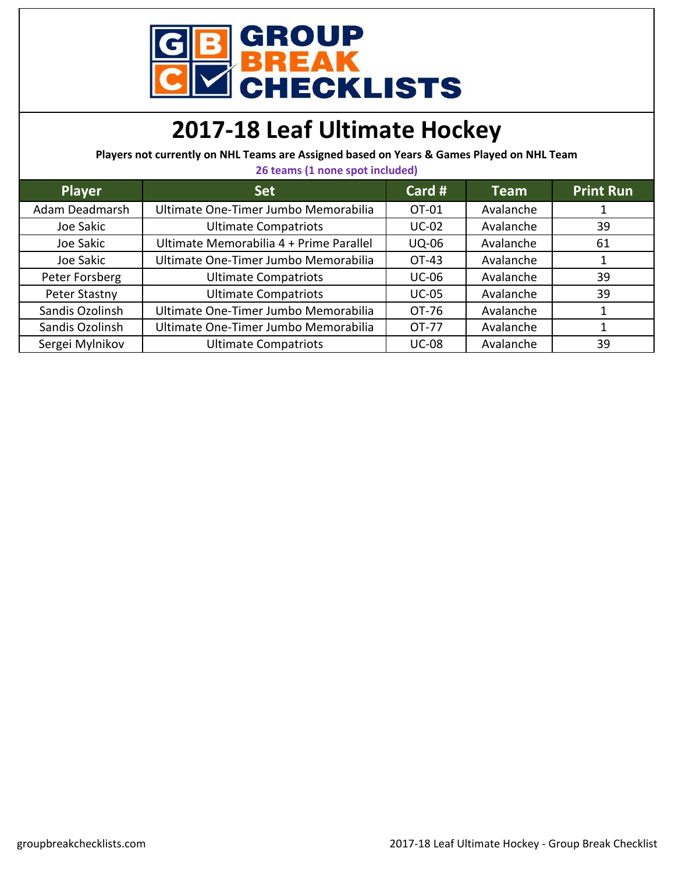

## **2017-18 Leaf Ultimate Hockey**

**Players not currently on NHL Teams are Assigned based on Years & Games Played on NHL Team 26 teams (1 none spot included)**

| Z6 teams (1 none spot included) |                                         |              |             |                  |
|---------------------------------|-----------------------------------------|--------------|-------------|------------------|
| <b>Player</b>                   | <b>Set</b>                              | Card #       | <b>Team</b> | <b>Print Run</b> |
| Adam Deadmarsh                  | Ultimate One-Timer Jumbo Memorabilia    | OT-01        | Avalanche   |                  |
| Joe Sakic                       | <b>Ultimate Compatriots</b>             | $UC-02$      | Avalanche   | 39               |
| Joe Sakic                       | Ultimate Memorabilia 4 + Prime Parallel | <b>UQ-06</b> | Avalanche   | 61               |
| Joe Sakic                       | Ultimate One-Timer Jumbo Memorabilia    | OT-43        | Avalanche   |                  |
| Peter Forsberg                  | <b>Ultimate Compatriots</b>             | <b>UC-06</b> | Avalanche   | 39               |
| Peter Stastny                   | <b>Ultimate Compatriots</b>             | <b>UC-05</b> | Avalanche   | 39               |
| Sandis Ozolinsh                 | Ultimate One-Timer Jumbo Memorabilia    | OT-76        | Avalanche   |                  |
| Sandis Ozolinsh                 | Ultimate One-Timer Jumbo Memorabilia    | OT-77        | Avalanche   |                  |
| Sergei Mylnikov                 | <b>Ultimate Compatriots</b>             | <b>UC-08</b> | Avalanche   | 39               |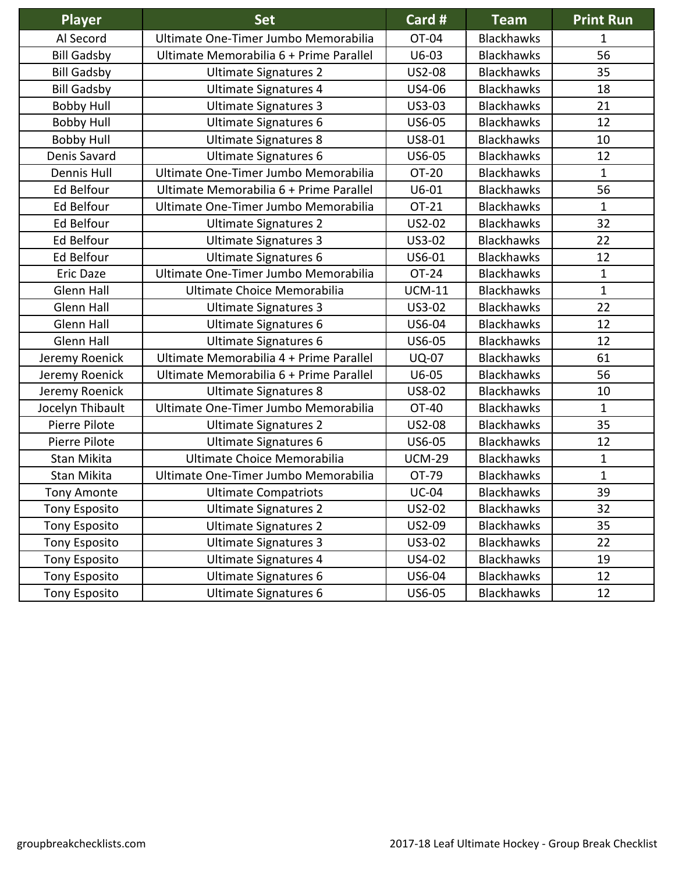| Player               | <b>Set</b>                              | Card #        | <b>Team</b>       | <b>Print Run</b> |
|----------------------|-----------------------------------------|---------------|-------------------|------------------|
| Al Secord            | Ultimate One-Timer Jumbo Memorabilia    | OT-04         | <b>Blackhawks</b> | 1                |
| <b>Bill Gadsby</b>   | Ultimate Memorabilia 6 + Prime Parallel | $U6-03$       | <b>Blackhawks</b> | 56               |
| <b>Bill Gadsby</b>   | <b>Ultimate Signatures 2</b>            | <b>US2-08</b> | <b>Blackhawks</b> | 35               |
| <b>Bill Gadsby</b>   | Ultimate Signatures 4                   | US4-06        | <b>Blackhawks</b> | 18               |
| <b>Bobby Hull</b>    | <b>Ultimate Signatures 3</b>            | US3-03        | <b>Blackhawks</b> | 21               |
| <b>Bobby Hull</b>    | <b>Ultimate Signatures 6</b>            | US6-05        | <b>Blackhawks</b> | 12               |
| <b>Bobby Hull</b>    | <b>Ultimate Signatures 8</b>            | US8-01        | <b>Blackhawks</b> | 10               |
| Denis Savard         | <b>Ultimate Signatures 6</b>            | US6-05        | <b>Blackhawks</b> | 12               |
| <b>Dennis Hull</b>   | Ultimate One-Timer Jumbo Memorabilia    | OT-20         | <b>Blackhawks</b> | $\mathbf{1}$     |
| Ed Belfour           | Ultimate Memorabilia 6 + Prime Parallel | $U6-01$       | <b>Blackhawks</b> | 56               |
| Ed Belfour           | Ultimate One-Timer Jumbo Memorabilia    | OT-21         | <b>Blackhawks</b> | $\mathbf{1}$     |
| Ed Belfour           | <b>Ultimate Signatures 2</b>            | US2-02        | <b>Blackhawks</b> | 32               |
| Ed Belfour           | <b>Ultimate Signatures 3</b>            | US3-02        | <b>Blackhawks</b> | 22               |
| Ed Belfour           | <b>Ultimate Signatures 6</b>            | US6-01        | <b>Blackhawks</b> | 12               |
| Eric Daze            | Ultimate One-Timer Jumbo Memorabilia    | OT-24         | <b>Blackhawks</b> | $\mathbf{1}$     |
| Glenn Hall           | Ultimate Choice Memorabilia             | <b>UCM-11</b> | <b>Blackhawks</b> | $\mathbf{1}$     |
| <b>Glenn Hall</b>    | <b>Ultimate Signatures 3</b>            | US3-02        | <b>Blackhawks</b> | 22               |
| Glenn Hall           | Ultimate Signatures 6                   | US6-04        | <b>Blackhawks</b> | 12               |
| <b>Glenn Hall</b>    | <b>Ultimate Signatures 6</b>            | US6-05        | <b>Blackhawks</b> | 12               |
| Jeremy Roenick       | Ultimate Memorabilia 4 + Prime Parallel | <b>UQ-07</b>  | <b>Blackhawks</b> | 61               |
| Jeremy Roenick       | Ultimate Memorabilia 6 + Prime Parallel | $U6-05$       | <b>Blackhawks</b> | 56               |
| Jeremy Roenick       | <b>Ultimate Signatures 8</b>            | US8-02        | <b>Blackhawks</b> | 10               |
| Jocelyn Thibault     | Ultimate One-Timer Jumbo Memorabilia    | OT-40         | <b>Blackhawks</b> | $\mathbf{1}$     |
| Pierre Pilote        | <b>Ultimate Signatures 2</b>            | <b>US2-08</b> | <b>Blackhawks</b> | 35               |
| Pierre Pilote        | <b>Ultimate Signatures 6</b>            | US6-05        | <b>Blackhawks</b> | 12               |
| Stan Mikita          | Ultimate Choice Memorabilia             | <b>UCM-29</b> | <b>Blackhawks</b> | $\mathbf{1}$     |
| Stan Mikita          | Ultimate One-Timer Jumbo Memorabilia    | OT-79         | <b>Blackhawks</b> | $\mathbf{1}$     |
| <b>Tony Amonte</b>   | <b>Ultimate Compatriots</b>             | <b>UC-04</b>  | <b>Blackhawks</b> | 39               |
| <b>Tony Esposito</b> | <b>Ultimate Signatures 2</b>            | US2-02        | <b>Blackhawks</b> | 32               |
| <b>Tony Esposito</b> | <b>Ultimate Signatures 2</b>            | US2-09        | <b>Blackhawks</b> | 35               |
| <b>Tony Esposito</b> | <b>Ultimate Signatures 3</b>            | US3-02        | <b>Blackhawks</b> | 22               |
| <b>Tony Esposito</b> | <b>Ultimate Signatures 4</b>            | US4-02        | <b>Blackhawks</b> | 19               |
| <b>Tony Esposito</b> | <b>Ultimate Signatures 6</b>            | US6-04        | <b>Blackhawks</b> | 12               |
| <b>Tony Esposito</b> | <b>Ultimate Signatures 6</b>            | US6-05        | <b>Blackhawks</b> | 12               |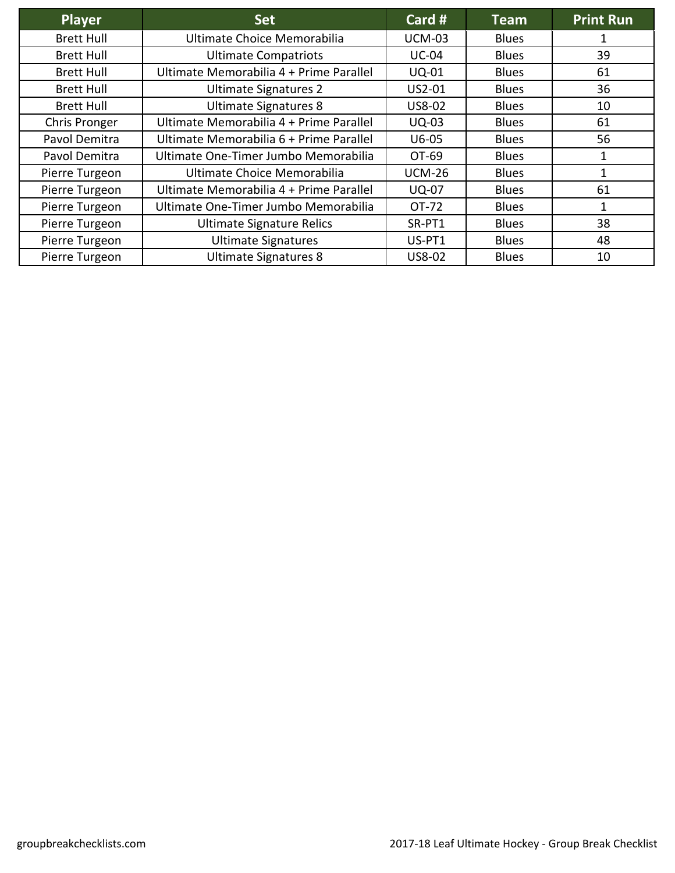| Player            | <b>Set</b>                              | Card $#$      | Team         | <b>Print Run</b> |
|-------------------|-----------------------------------------|---------------|--------------|------------------|
| <b>Brett Hull</b> | Ultimate Choice Memorabilia             | <b>UCM-03</b> | <b>Blues</b> |                  |
| <b>Brett Hull</b> | <b>Ultimate Compatriots</b>             | <b>UC-04</b>  | <b>Blues</b> | 39               |
| <b>Brett Hull</b> | Ultimate Memorabilia 4 + Prime Parallel | <b>UQ-01</b>  | <b>Blues</b> | 61               |
| <b>Brett Hull</b> | <b>Ultimate Signatures 2</b>            | US2-01        | <b>Blues</b> | 36               |
| <b>Brett Hull</b> | <b>Ultimate Signatures 8</b>            | US8-02        | <b>Blues</b> | 10               |
| Chris Pronger     | Ultimate Memorabilia 4 + Prime Parallel | <b>UQ-03</b>  | <b>Blues</b> | 61               |
| Pavol Demitra     | Ultimate Memorabilia 6 + Prime Parallel | $U6-05$       | <b>Blues</b> | 56               |
| Pavol Demitra     | Ultimate One-Timer Jumbo Memorabilia    | OT-69         | <b>Blues</b> | 1                |
| Pierre Turgeon    | Ultimate Choice Memorabilia             | <b>UCM-26</b> | <b>Blues</b> | 1                |
| Pierre Turgeon    | Ultimate Memorabilia 4 + Prime Parallel | <b>UQ-07</b>  | <b>Blues</b> | 61               |
| Pierre Turgeon    | Ultimate One-Timer Jumbo Memorabilia    | OT-72         | <b>Blues</b> | $\mathbf{1}$     |
| Pierre Turgeon    | <b>Ultimate Signature Relics</b>        | SR-PT1        | <b>Blues</b> | 38               |
| Pierre Turgeon    | <b>Ultimate Signatures</b>              | US-PT1        | <b>Blues</b> | 48               |
| Pierre Turgeon    | <b>Ultimate Signatures 8</b>            | <b>US8-02</b> | <b>Blues</b> | 10               |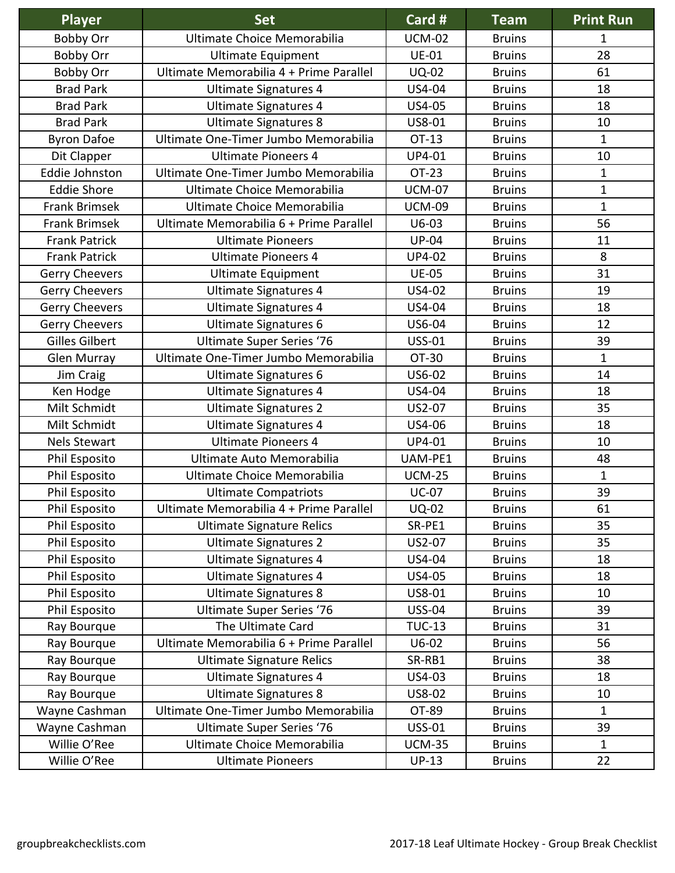| <b>Player</b>         | <b>Set</b>                              | Card #        | <b>Team</b>   | <b>Print Run</b> |
|-----------------------|-----------------------------------------|---------------|---------------|------------------|
| <b>Bobby Orr</b>      | Ultimate Choice Memorabilia             | <b>UCM-02</b> | <b>Bruins</b> | 1                |
| <b>Bobby Orr</b>      | <b>Ultimate Equipment</b>               | <b>UE-01</b>  | <b>Bruins</b> | 28               |
| <b>Bobby Orr</b>      | Ultimate Memorabilia 4 + Prime Parallel | <b>UQ-02</b>  | <b>Bruins</b> | 61               |
| <b>Brad Park</b>      | Ultimate Signatures 4                   | US4-04        | <b>Bruins</b> | 18               |
| <b>Brad Park</b>      | <b>Ultimate Signatures 4</b>            | US4-05        | <b>Bruins</b> | 18               |
| <b>Brad Park</b>      | <b>Ultimate Signatures 8</b>            | US8-01        | <b>Bruins</b> | 10               |
| <b>Byron Dafoe</b>    | Ultimate One-Timer Jumbo Memorabilia    | OT-13         | <b>Bruins</b> | $\mathbf{1}$     |
| Dit Clapper           | <b>Ultimate Pioneers 4</b>              | UP4-01        | <b>Bruins</b> | 10               |
| Eddie Johnston        | Ultimate One-Timer Jumbo Memorabilia    | <b>OT-23</b>  | <b>Bruins</b> | $\mathbf{1}$     |
| <b>Eddie Shore</b>    | Ultimate Choice Memorabilia             | <b>UCM-07</b> | <b>Bruins</b> | $\mathbf 1$      |
| <b>Frank Brimsek</b>  | Ultimate Choice Memorabilia             | <b>UCM-09</b> | <b>Bruins</b> | $\mathbf 1$      |
| <b>Frank Brimsek</b>  | Ultimate Memorabilia 6 + Prime Parallel | $U6-03$       | <b>Bruins</b> | 56               |
| <b>Frank Patrick</b>  | <b>Ultimate Pioneers</b>                | <b>UP-04</b>  | <b>Bruins</b> | 11               |
| <b>Frank Patrick</b>  | <b>Ultimate Pioneers 4</b>              | <b>UP4-02</b> | <b>Bruins</b> | 8                |
| <b>Gerry Cheevers</b> | <b>Ultimate Equipment</b>               | <b>UE-05</b>  | <b>Bruins</b> | 31               |
| Gerry Cheevers        | <b>Ultimate Signatures 4</b>            | US4-02        | <b>Bruins</b> | 19               |
| <b>Gerry Cheevers</b> | <b>Ultimate Signatures 4</b>            | US4-04        | <b>Bruins</b> | 18               |
| <b>Gerry Cheevers</b> | <b>Ultimate Signatures 6</b>            | US6-04        | <b>Bruins</b> | 12               |
| <b>Gilles Gilbert</b> | <b>Ultimate Super Series '76</b>        | <b>USS-01</b> | <b>Bruins</b> | 39               |
| <b>Glen Murray</b>    | Ultimate One-Timer Jumbo Memorabilia    | OT-30         | <b>Bruins</b> | $\mathbf 1$      |
| Jim Craig             | Ultimate Signatures 6                   | US6-02        | <b>Bruins</b> | 14               |
| Ken Hodge             | Ultimate Signatures 4                   | US4-04        | <b>Bruins</b> | 18               |
| Milt Schmidt          | <b>Ultimate Signatures 2</b>            | US2-07        | <b>Bruins</b> | 35               |
| Milt Schmidt          | <b>Ultimate Signatures 4</b>            | US4-06        | <b>Bruins</b> | 18               |
| <b>Nels Stewart</b>   | <b>Ultimate Pioneers 4</b>              | UP4-01        | <b>Bruins</b> | 10               |
| Phil Esposito         | Ultimate Auto Memorabilia               | UAM-PE1       | <b>Bruins</b> | 48               |
| Phil Esposito         | Ultimate Choice Memorabilia             | <b>UCM-25</b> | <b>Bruins</b> | $\mathbf{1}$     |
| Phil Esposito         | <b>Ultimate Compatriots</b>             | <b>UC-07</b>  | <b>Bruins</b> | 39               |
| Phil Esposito         | Ultimate Memorabilia 4 + Prime Parallel | <b>UQ-02</b>  | <b>Bruins</b> | 61               |
| Phil Esposito         | <b>Ultimate Signature Relics</b>        | SR-PE1        | <b>Bruins</b> | 35               |
| Phil Esposito         | <b>Ultimate Signatures 2</b>            | US2-07        | <b>Bruins</b> | 35               |
| Phil Esposito         | <b>Ultimate Signatures 4</b>            | US4-04        | <b>Bruins</b> | 18               |
| Phil Esposito         | <b>Ultimate Signatures 4</b>            | US4-05        | <b>Bruins</b> | 18               |
| Phil Esposito         | <b>Ultimate Signatures 8</b>            | US8-01        | <b>Bruins</b> | 10               |
| Phil Esposito         | <b>Ultimate Super Series '76</b>        | <b>USS-04</b> | <b>Bruins</b> | 39               |
| Ray Bourque           | The Ultimate Card                       | <b>TUC-13</b> | <b>Bruins</b> | 31               |
| Ray Bourque           | Ultimate Memorabilia 6 + Prime Parallel | $U6-02$       | <b>Bruins</b> | 56               |
| Ray Bourque           | <b>Ultimate Signature Relics</b>        | SR-RB1        | <b>Bruins</b> | 38               |
| Ray Bourque           | Ultimate Signatures 4                   | US4-03        | <b>Bruins</b> | 18               |
| Ray Bourque           | <b>Ultimate Signatures 8</b>            | US8-02        | <b>Bruins</b> | 10               |
| Wayne Cashman         | Ultimate One-Timer Jumbo Memorabilia    | OT-89         | <b>Bruins</b> | 1                |
| Wayne Cashman         | <b>Ultimate Super Series '76</b>        | <b>USS-01</b> | <b>Bruins</b> | 39               |
| Willie O'Ree          | Ultimate Choice Memorabilia             | <b>UCM-35</b> | <b>Bruins</b> | $\mathbf{1}$     |
| Willie O'Ree          | <b>Ultimate Pioneers</b>                | $UP-13$       | <b>Bruins</b> | 22               |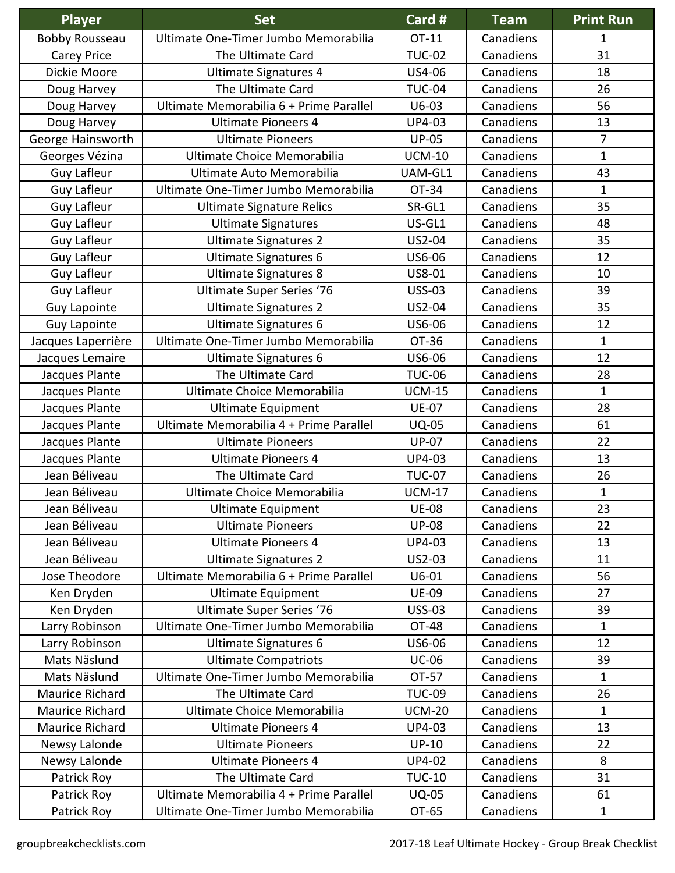| <b>Player</b>          | <b>Set</b>                              | Card #        | <b>Team</b> | <b>Print Run</b> |
|------------------------|-----------------------------------------|---------------|-------------|------------------|
| <b>Bobby Rousseau</b>  | Ultimate One-Timer Jumbo Memorabilia    | OT-11         | Canadiens   | 1                |
| Carey Price            | The Ultimate Card                       | <b>TUC-02</b> | Canadiens   | 31               |
| Dickie Moore           | <b>Ultimate Signatures 4</b>            | US4-06        | Canadiens   | 18               |
| Doug Harvey            | The Ultimate Card                       | <b>TUC-04</b> | Canadiens   | 26               |
| Doug Harvey            | Ultimate Memorabilia 6 + Prime Parallel | $U6-03$       | Canadiens   | 56               |
| Doug Harvey            | <b>Ultimate Pioneers 4</b>              | UP4-03        | Canadiens   | 13               |
| George Hainsworth      | <b>Ultimate Pioneers</b>                | <b>UP-05</b>  | Canadiens   | $\overline{7}$   |
| Georges Vézina         | Ultimate Choice Memorabilia             | <b>UCM-10</b> | Canadiens   | $\mathbf{1}$     |
| <b>Guy Lafleur</b>     | Ultimate Auto Memorabilia               | UAM-GL1       | Canadiens   | 43               |
| <b>Guy Lafleur</b>     | Ultimate One-Timer Jumbo Memorabilia    | OT-34         | Canadiens   | 1                |
| <b>Guy Lafleur</b>     | <b>Ultimate Signature Relics</b>        | SR-GL1        | Canadiens   | 35               |
| <b>Guy Lafleur</b>     | <b>Ultimate Signatures</b>              | US-GL1        | Canadiens   | 48               |
| <b>Guy Lafleur</b>     | <b>Ultimate Signatures 2</b>            | US2-04        | Canadiens   | 35               |
| <b>Guy Lafleur</b>     | <b>Ultimate Signatures 6</b>            | US6-06        | Canadiens   | 12               |
| <b>Guy Lafleur</b>     | <b>Ultimate Signatures 8</b>            | US8-01        | Canadiens   | 10               |
| <b>Guy Lafleur</b>     | <b>Ultimate Super Series '76</b>        | <b>USS-03</b> | Canadiens   | 39               |
| <b>Guy Lapointe</b>    | <b>Ultimate Signatures 2</b>            | US2-04        | Canadiens   | 35               |
| <b>Guy Lapointe</b>    | <b>Ultimate Signatures 6</b>            | US6-06        | Canadiens   | 12               |
| Jacques Laperrière     | Ultimate One-Timer Jumbo Memorabilia    | OT-36         | Canadiens   | $\mathbf{1}$     |
| Jacques Lemaire        | <b>Ultimate Signatures 6</b>            | US6-06        | Canadiens   | 12               |
| Jacques Plante         | The Ultimate Card                       | <b>TUC-06</b> | Canadiens   | 28               |
| Jacques Plante         | Ultimate Choice Memorabilia             | <b>UCM-15</b> | Canadiens   | $\mathbf 1$      |
| Jacques Plante         | <b>Ultimate Equipment</b>               | <b>UE-07</b>  | Canadiens   | 28               |
| Jacques Plante         | Ultimate Memorabilia 4 + Prime Parallel | <b>UQ-05</b>  | Canadiens   | 61               |
| Jacques Plante         | <b>Ultimate Pioneers</b>                | <b>UP-07</b>  | Canadiens   | 22               |
| Jacques Plante         | <b>Ultimate Pioneers 4</b>              | UP4-03        | Canadiens   | 13               |
| Jean Béliveau          | The Ultimate Card                       | <b>TUC-07</b> | Canadiens   | 26               |
| Jean Béliveau          | Ultimate Choice Memorabilia             | <b>UCM-17</b> | Canadiens   | $\mathbf{1}$     |
| Jean Béliveau          | <b>Ultimate Equipment</b>               | <b>UE-08</b>  | Canadiens   | 23               |
| Jean Béliveau          | <b>Ultimate Pioneers</b>                | <b>UP-08</b>  | Canadiens   | 22               |
| Jean Béliveau          | <b>Ultimate Pioneers 4</b>              | UP4-03        | Canadiens   | 13               |
| Jean Béliveau          | <b>Ultimate Signatures 2</b>            | US2-03        | Canadiens   | 11               |
| Jose Theodore          | Ultimate Memorabilia 6 + Prime Parallel | $U6-01$       | Canadiens   | 56               |
| Ken Dryden             | Ultimate Equipment                      | <b>UE-09</b>  | Canadiens   | 27               |
| Ken Dryden             | <b>Ultimate Super Series '76</b>        | <b>USS-03</b> | Canadiens   | 39               |
| Larry Robinson         | Ultimate One-Timer Jumbo Memorabilia    | OT-48         | Canadiens   | $\mathbf{1}$     |
| Larry Robinson         | Ultimate Signatures 6                   | US6-06        | Canadiens   | 12               |
| Mats Näslund           | <b>Ultimate Compatriots</b>             | <b>UC-06</b>  | Canadiens   | 39               |
| Mats Näslund           | Ultimate One-Timer Jumbo Memorabilia    | OT-57         | Canadiens   | $\mathbf 1$      |
| Maurice Richard        | The Ultimate Card                       | <b>TUC-09</b> | Canadiens   | 26               |
| <b>Maurice Richard</b> | Ultimate Choice Memorabilia             | <b>UCM-20</b> | Canadiens   | $\mathbf{1}$     |
| Maurice Richard        | <b>Ultimate Pioneers 4</b>              | UP4-03        | Canadiens   | 13               |
| Newsy Lalonde          | <b>Ultimate Pioneers</b>                | $UP-10$       | Canadiens   | 22               |
| Newsy Lalonde          | <b>Ultimate Pioneers 4</b>              | <b>UP4-02</b> | Canadiens   | 8                |
| Patrick Roy            | The Ultimate Card                       | <b>TUC-10</b> | Canadiens   | 31               |
| Patrick Roy            | Ultimate Memorabilia 4 + Prime Parallel | <b>UQ-05</b>  | Canadiens   | 61               |
| Patrick Roy            | Ultimate One-Timer Jumbo Memorabilia    | OT-65         | Canadiens   | $\mathbf 1$      |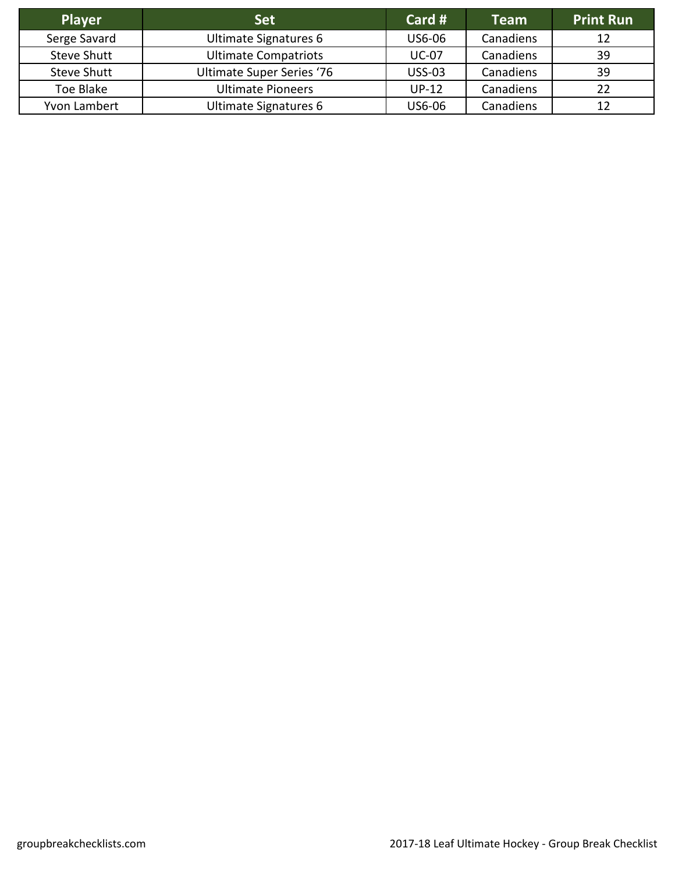| <b>Player</b>      | <b>Set</b>                       | Card #        | <b>Team</b> | <b>Print Run</b> |
|--------------------|----------------------------------|---------------|-------------|------------------|
| Serge Savard       | Ultimate Signatures 6            | US6-06        | Canadiens   | 12               |
| <b>Steve Shutt</b> | <b>Ultimate Compatriots</b>      | <b>UC-07</b>  | Canadiens   | 39               |
| <b>Steve Shutt</b> | <b>Ultimate Super Series '76</b> | <b>USS-03</b> | Canadiens   | 39               |
| Toe Blake          | <b>Ultimate Pioneers</b>         | $UP-12$       | Canadiens   | 22               |
| Yvon Lambert       | Ultimate Signatures 6            | US6-06        | Canadiens   |                  |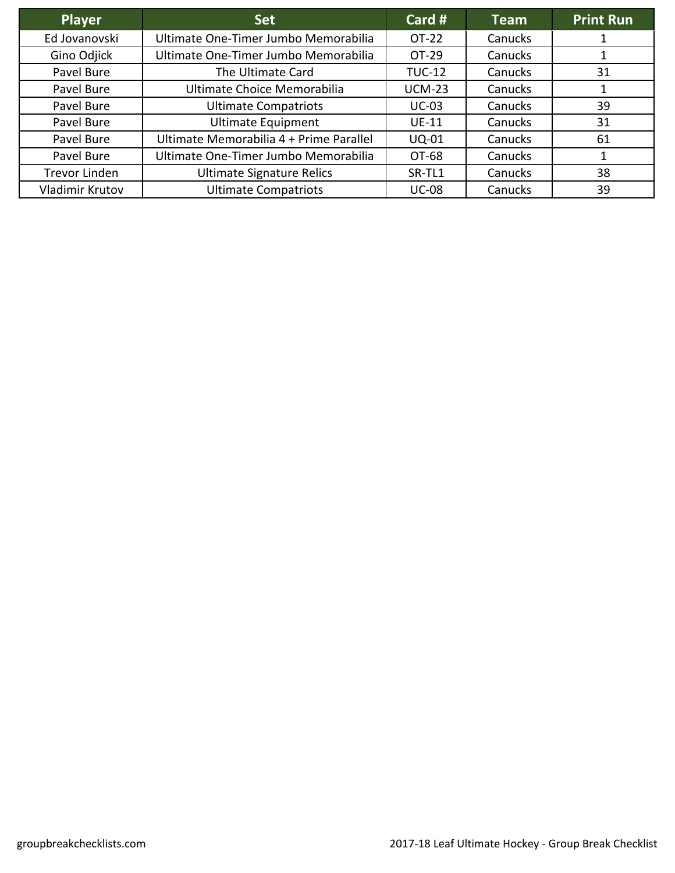| <b>Player</b>        | <b>Set</b>                              | Card #        | <b>Team</b> | <b>Print Run</b> |
|----------------------|-----------------------------------------|---------------|-------------|------------------|
| Ed Jovanovski        | Ultimate One-Timer Jumbo Memorabilia    | OT-22         | Canucks     |                  |
| Gino Odjick          | Ultimate One-Timer Jumbo Memorabilia    | OT-29         | Canucks     |                  |
| Pavel Bure           | The Ultimate Card                       | <b>TUC-12</b> | Canucks     | 31               |
| Pavel Bure           | Ultimate Choice Memorabilia             | <b>UCM-23</b> | Canucks     |                  |
| Pavel Bure           | <b>Ultimate Compatriots</b>             | $UC-03$       | Canucks     | 39               |
| Pavel Bure           | <b>Ultimate Equipment</b>               | <b>UE-11</b>  | Canucks     | 31               |
| Pavel Bure           | Ultimate Memorabilia 4 + Prime Parallel | <b>UQ-01</b>  | Canucks     | 61               |
| Pavel Bure           | Ultimate One-Timer Jumbo Memorabilia    | OT-68         | Canucks     |                  |
| <b>Trevor Linden</b> | <b>Ultimate Signature Relics</b>        | SR-TL1        | Canucks     | 38               |
| Vladimir Krutov      | <b>Ultimate Compatriots</b>             | <b>UC-08</b>  | Canucks     | 39               |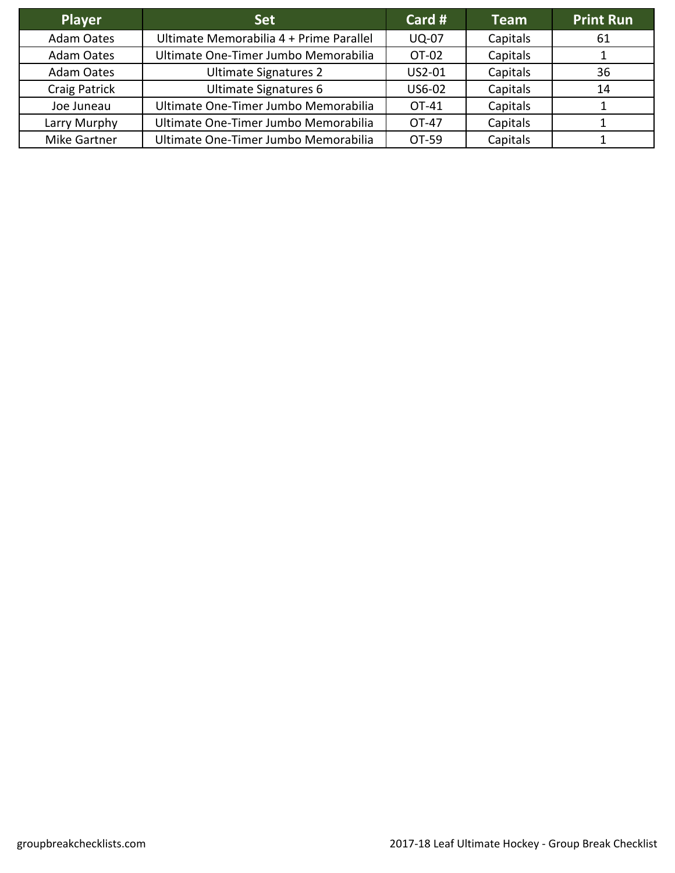| <b>Player</b>     | <b>Set</b>                              | Card $#$     | <b>Team</b> | <b>Print Run</b> |
|-------------------|-----------------------------------------|--------------|-------------|------------------|
| <b>Adam Oates</b> | Ultimate Memorabilia 4 + Prime Parallel | <b>UQ-07</b> | Capitals    | 61               |
| <b>Adam Oates</b> | Ultimate One-Timer Jumbo Memorabilia    | OT-02        | Capitals    |                  |
| Adam Oates        | <b>Ultimate Signatures 2</b>            | US2-01       | Capitals    | 36               |
| Craig Patrick     | Ultimate Signatures 6                   | US6-02       | Capitals    | 14               |
| Joe Juneau        | Ultimate One-Timer Jumbo Memorabilia    | OT-41        | Capitals    |                  |
| Larry Murphy      | Ultimate One-Timer Jumbo Memorabilia    | OT-47        | Capitals    |                  |
| Mike Gartner      | Ultimate One-Timer Jumbo Memorabilia    | OT-59        | Capitals    |                  |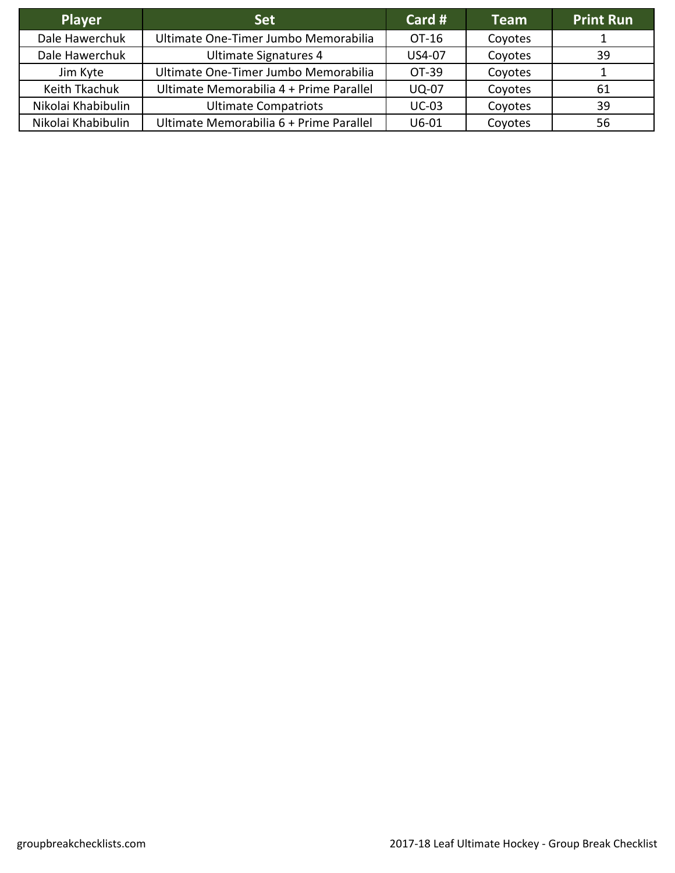| <b>Player</b>      | <b>Set</b>                              | Card $#$     | <b>Team</b> | <b>Print Run</b> |
|--------------------|-----------------------------------------|--------------|-------------|------------------|
| Dale Hawerchuk     | Ultimate One-Timer Jumbo Memorabilia    | OT-16        | Coyotes     |                  |
| Dale Hawerchuk     | Ultimate Signatures 4                   | US4-07       | Coyotes     | 39               |
| Jim Kyte           | Ultimate One-Timer Jumbo Memorabilia    | OT-39        | Coyotes     |                  |
| Keith Tkachuk      | Ultimate Memorabilia 4 + Prime Parallel | <b>UQ-07</b> | Coyotes     | 61               |
| Nikolai Khabibulin | <b>Ultimate Compatriots</b>             | $UC-03$      | Coyotes     | 39               |
| Nikolai Khabibulin | Ultimate Memorabilia 6 + Prime Parallel | $U6-01$      | Coyotes     | 56               |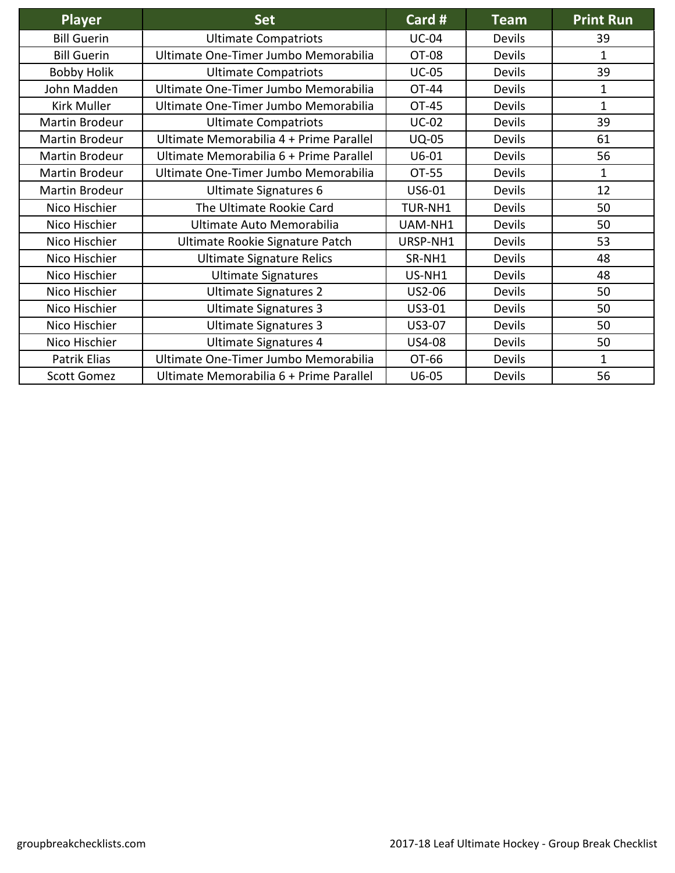| <b>Player</b>         | <b>Set</b>                              | Card #       | <b>Team</b>   | <b>Print Run</b> |
|-----------------------|-----------------------------------------|--------------|---------------|------------------|
| <b>Bill Guerin</b>    | <b>Ultimate Compatriots</b>             | <b>UC-04</b> | <b>Devils</b> | 39               |
| <b>Bill Guerin</b>    | Ultimate One-Timer Jumbo Memorabilia    | OT-08        | <b>Devils</b> | $\mathbf{1}$     |
| <b>Bobby Holik</b>    | <b>Ultimate Compatriots</b>             | <b>UC-05</b> | <b>Devils</b> | 39               |
| John Madden           | Ultimate One-Timer Jumbo Memorabilia    | OT-44        | <b>Devils</b> | $\mathbf 1$      |
| Kirk Muller           | Ultimate One-Timer Jumbo Memorabilia    | OT-45        | Devils        | $\mathbf{1}$     |
| <b>Martin Brodeur</b> | <b>Ultimate Compatriots</b>             | $UC-02$      | <b>Devils</b> | 39               |
| <b>Martin Brodeur</b> | Ultimate Memorabilia 4 + Prime Parallel | <b>UQ-05</b> | <b>Devils</b> | 61               |
| Martin Brodeur        | Ultimate Memorabilia 6 + Prime Parallel | $U6-01$      | Devils        | 56               |
| Martin Brodeur        | Ultimate One-Timer Jumbo Memorabilia    | OT-55        | <b>Devils</b> | $\mathbf{1}$     |
| <b>Martin Brodeur</b> | <b>Ultimate Signatures 6</b>            | US6-01       | Devils        | 12               |
| Nico Hischier         | The Ultimate Rookie Card                | TUR-NH1      | Devils        | 50               |
| Nico Hischier         | Ultimate Auto Memorabilia               | UAM-NH1      | <b>Devils</b> | 50               |
| Nico Hischier         | Ultimate Rookie Signature Patch         | URSP-NH1     | <b>Devils</b> | 53               |
| Nico Hischier         | <b>Ultimate Signature Relics</b>        | SR-NH1       | Devils        | 48               |
| Nico Hischier         | <b>Ultimate Signatures</b>              | US-NH1       | <b>Devils</b> | 48               |
| Nico Hischier         | <b>Ultimate Signatures 2</b>            | US2-06       | <b>Devils</b> | 50               |
| Nico Hischier         | <b>Ultimate Signatures 3</b>            | US3-01       | Devils        | 50               |
| Nico Hischier         | <b>Ultimate Signatures 3</b>            | US3-07       | <b>Devils</b> | 50               |
| Nico Hischier         | <b>Ultimate Signatures 4</b>            | US4-08       | Devils        | 50               |
| Patrik Elias          | Ultimate One-Timer Jumbo Memorabilia    | OT-66        | Devils        | $\mathbf{1}$     |
| <b>Scott Gomez</b>    | Ultimate Memorabilia 6 + Prime Parallel | $U6-05$      | Devils        | 56               |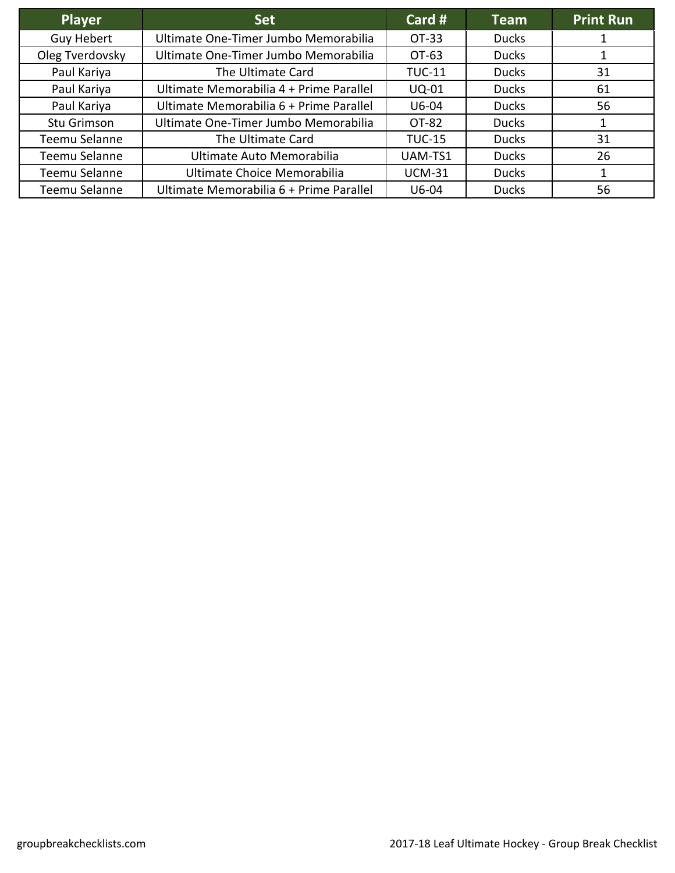| Player            | <b>Set</b>                              | Card #        | Team         | <b>Print Run</b> |
|-------------------|-----------------------------------------|---------------|--------------|------------------|
| <b>Guy Hebert</b> | Ultimate One-Timer Jumbo Memorabilia    | OT-33         | <b>Ducks</b> |                  |
| Oleg Tverdovsky   | Ultimate One-Timer Jumbo Memorabilia    | OT-63         | <b>Ducks</b> |                  |
| Paul Kariya       | The Ultimate Card                       | <b>TUC-11</b> | <b>Ducks</b> | 31               |
| Paul Kariya       | Ultimate Memorabilia 4 + Prime Parallel | <b>UQ-01</b>  | <b>Ducks</b> | 61               |
| Paul Kariya       | Ultimate Memorabilia 6 + Prime Parallel | $U6-04$       | <b>Ducks</b> | 56               |
| Stu Grimson       | Ultimate One-Timer Jumbo Memorabilia    | OT-82         | <b>Ducks</b> |                  |
| Teemu Selanne     | The Ultimate Card                       | <b>TUC-15</b> | <b>Ducks</b> | 31               |
| Teemu Selanne     | Ultimate Auto Memorabilia               | UAM-TS1       | <b>Ducks</b> | 26               |
| Teemu Selanne     | Ultimate Choice Memorabilia             | <b>UCM-31</b> | <b>Ducks</b> |                  |
| Teemu Selanne     | Ultimate Memorabilia 6 + Prime Parallel | $U6-04$       | <b>Ducks</b> | 56               |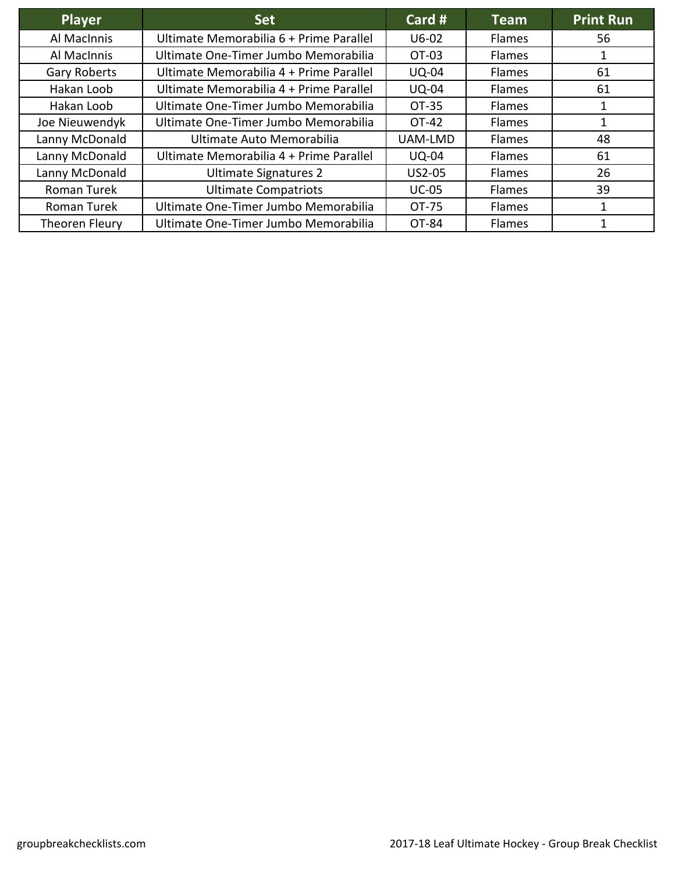| <b>Player</b>       | <b>Set</b>                              | Card #       | Team          | <b>Print Run</b> |
|---------------------|-----------------------------------------|--------------|---------------|------------------|
| Al MacInnis         | Ultimate Memorabilia 6 + Prime Parallel | $U6-02$      | Flames        | 56               |
| Al MacInnis         | Ultimate One-Timer Jumbo Memorabilia    | OT-03        | <b>Flames</b> |                  |
| <b>Gary Roberts</b> | Ultimate Memorabilia 4 + Prime Parallel | <b>UQ-04</b> | <b>Flames</b> | 61               |
| Hakan Loob          | Ultimate Memorabilia 4 + Prime Parallel | <b>UQ-04</b> | <b>Flames</b> | 61               |
| Hakan Loob          | Ultimate One-Timer Jumbo Memorabilia    | OT-35        | <b>Flames</b> |                  |
| Joe Nieuwendyk      | Ultimate One-Timer Jumbo Memorabilia    | OT-42        | Flames        |                  |
| Lanny McDonald      | Ultimate Auto Memorabilia               | UAM-LMD      | Flames        | 48               |
| Lanny McDonald      | Ultimate Memorabilia 4 + Prime Parallel | <b>UQ-04</b> | <b>Flames</b> | 61               |
| Lanny McDonald      | Ultimate Signatures 2                   | US2-05       | Flames        | 26               |
| Roman Turek         | <b>Ultimate Compatriots</b>             | <b>UC-05</b> | <b>Flames</b> | 39               |
| Roman Turek         | Ultimate One-Timer Jumbo Memorabilia    | OT-75        | Flames        |                  |
| Theoren Fleury      | Ultimate One-Timer Jumbo Memorabilia    | OT-84        | <b>Flames</b> |                  |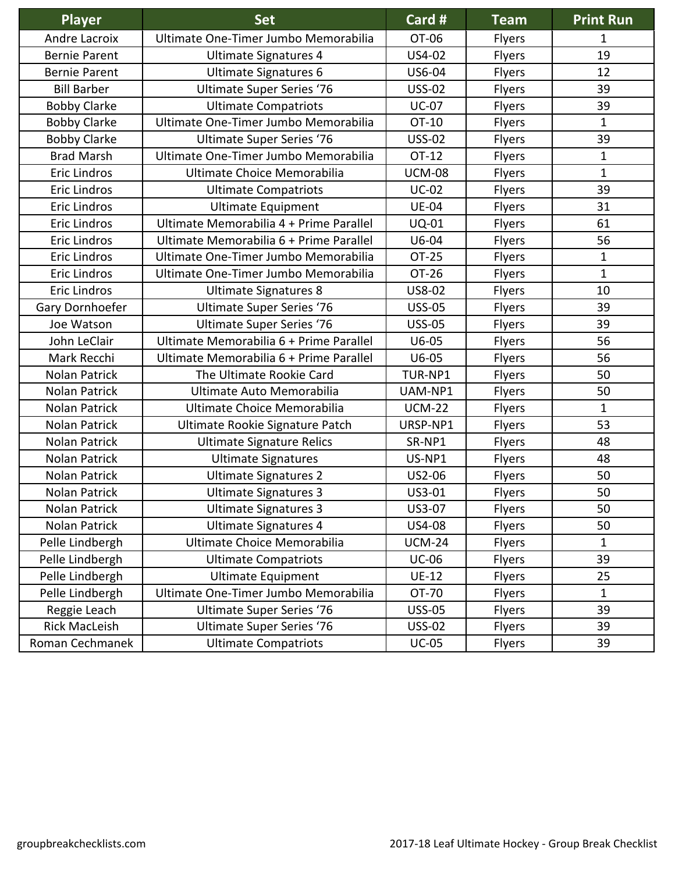| Player               | <b>Set</b>                              | Card#         | <b>Team</b>   | <b>Print Run</b> |
|----------------------|-----------------------------------------|---------------|---------------|------------------|
| Andre Lacroix        | Ultimate One-Timer Jumbo Memorabilia    | OT-06         | <b>Flyers</b> | 1                |
| <b>Bernie Parent</b> | Ultimate Signatures 4                   | US4-02        | Flyers        | 19               |
| <b>Bernie Parent</b> | <b>Ultimate Signatures 6</b>            | US6-04        | Flyers        | 12               |
| <b>Bill Barber</b>   | <b>Ultimate Super Series '76</b>        | <b>USS-02</b> | Flyers        | 39               |
| <b>Bobby Clarke</b>  | <b>Ultimate Compatriots</b>             | <b>UC-07</b>  | Flyers        | 39               |
| <b>Bobby Clarke</b>  | Ultimate One-Timer Jumbo Memorabilia    | OT-10         | Flyers        | $\mathbf{1}$     |
| <b>Bobby Clarke</b>  | <b>Ultimate Super Series '76</b>        | <b>USS-02</b> | Flyers        | 39               |
| <b>Brad Marsh</b>    | Ultimate One-Timer Jumbo Memorabilia    | OT-12         | Flyers        | $\mathbf{1}$     |
| Eric Lindros         | Ultimate Choice Memorabilia             | <b>UCM-08</b> | Flyers        | $\mathbf{1}$     |
| <b>Eric Lindros</b>  | <b>Ultimate Compatriots</b>             | <b>UC-02</b>  | Flyers        | 39               |
| <b>Eric Lindros</b>  | <b>Ultimate Equipment</b>               | <b>UE-04</b>  | Flyers        | 31               |
| <b>Eric Lindros</b>  | Ultimate Memorabilia 4 + Prime Parallel | <b>UQ-01</b>  | Flyers        | 61               |
| <b>Eric Lindros</b>  | Ultimate Memorabilia 6 + Prime Parallel | U6-04         | Flyers        | 56               |
| <b>Eric Lindros</b>  | Ultimate One-Timer Jumbo Memorabilia    | <b>OT-25</b>  | Flyers        | $\mathbf 1$      |
| <b>Eric Lindros</b>  | Ultimate One-Timer Jumbo Memorabilia    | OT-26         | Flyers        | $\mathbf{1}$     |
| <b>Eric Lindros</b>  | <b>Ultimate Signatures 8</b>            | US8-02        | Flyers        | 10               |
| Gary Dornhoefer      | <b>Ultimate Super Series '76</b>        | <b>USS-05</b> | Flyers        | 39               |
| Joe Watson           | <b>Ultimate Super Series '76</b>        | <b>USS-05</b> | Flyers        | 39               |
| John LeClair         | Ultimate Memorabilia 6 + Prime Parallel | $U6-05$       | Flyers        | 56               |
| Mark Recchi          | Ultimate Memorabilia 6 + Prime Parallel | $U6-05$       | Flyers        | 56               |
| <b>Nolan Patrick</b> | The Ultimate Rookie Card                | TUR-NP1       | Flyers        | 50               |
| Nolan Patrick        | Ultimate Auto Memorabilia               | UAM-NP1       | Flyers        | 50               |
| Nolan Patrick        | Ultimate Choice Memorabilia             | <b>UCM-22</b> | Flyers        | $\mathbf 1$      |
| Nolan Patrick        | Ultimate Rookie Signature Patch         | URSP-NP1      | Flyers        | 53               |
| Nolan Patrick        | <b>Ultimate Signature Relics</b>        | SR-NP1        | Flyers        | 48               |
| Nolan Patrick        | <b>Ultimate Signatures</b>              | US-NP1        | Flyers        | 48               |
| Nolan Patrick        | <b>Ultimate Signatures 2</b>            | US2-06        | Flyers        | 50               |
| Nolan Patrick        | <b>Ultimate Signatures 3</b>            | US3-01        | Flyers        | 50               |
| Nolan Patrick        | <b>Ultimate Signatures 3</b>            | US3-07        | <b>Flyers</b> | 50               |
| Nolan Patrick        | <b>Ultimate Signatures 4</b>            | US4-08        | Flyers        | 50               |
| Pelle Lindbergh      | Ultimate Choice Memorabilia             | <b>UCM-24</b> | <b>Flyers</b> | 1                |
| Pelle Lindbergh      | <b>Ultimate Compatriots</b>             | <b>UC-06</b>  | Flyers        | 39               |
| Pelle Lindbergh      | <b>Ultimate Equipment</b>               | $UE-12$       | <b>Flyers</b> | 25               |
| Pelle Lindbergh      | Ultimate One-Timer Jumbo Memorabilia    | OT-70         | Flyers        | 1                |
| Reggie Leach         | <b>Ultimate Super Series '76</b>        | <b>USS-05</b> | <b>Flyers</b> | 39               |
| <b>Rick MacLeish</b> | <b>Ultimate Super Series '76</b>        | <b>USS-02</b> | <b>Flyers</b> | 39               |
| Roman Cechmanek      | <b>Ultimate Compatriots</b>             | $UC-05$       | Flyers        | 39               |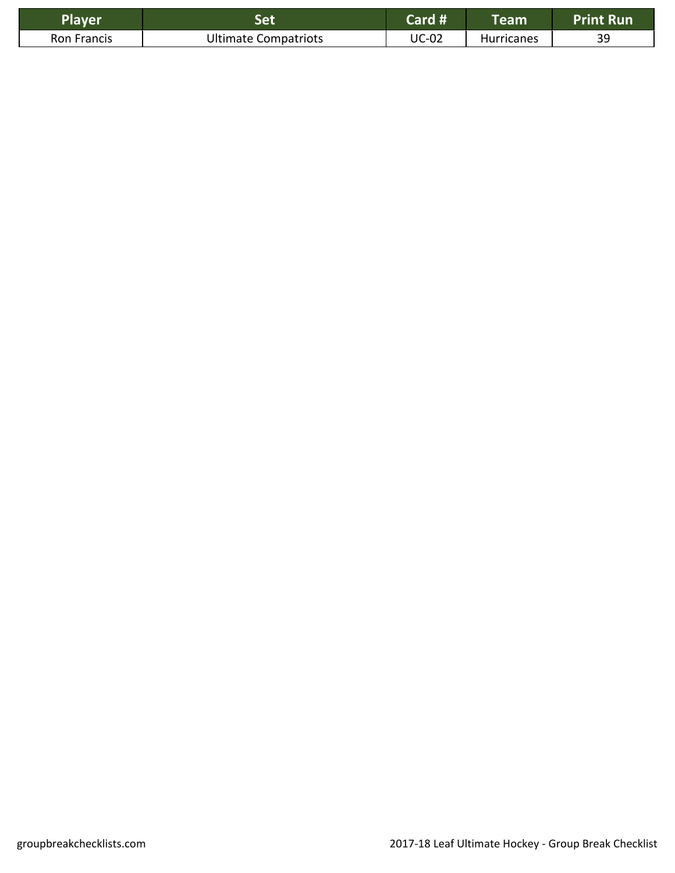| Player      |                             | Card #       | Team              | <b>Run</b> |
|-------------|-----------------------------|--------------|-------------------|------------|
| Ron Francis | <b>Ultimate Compatriots</b> | <b>UC-02</b> | <b>Hurricanes</b> | 39         |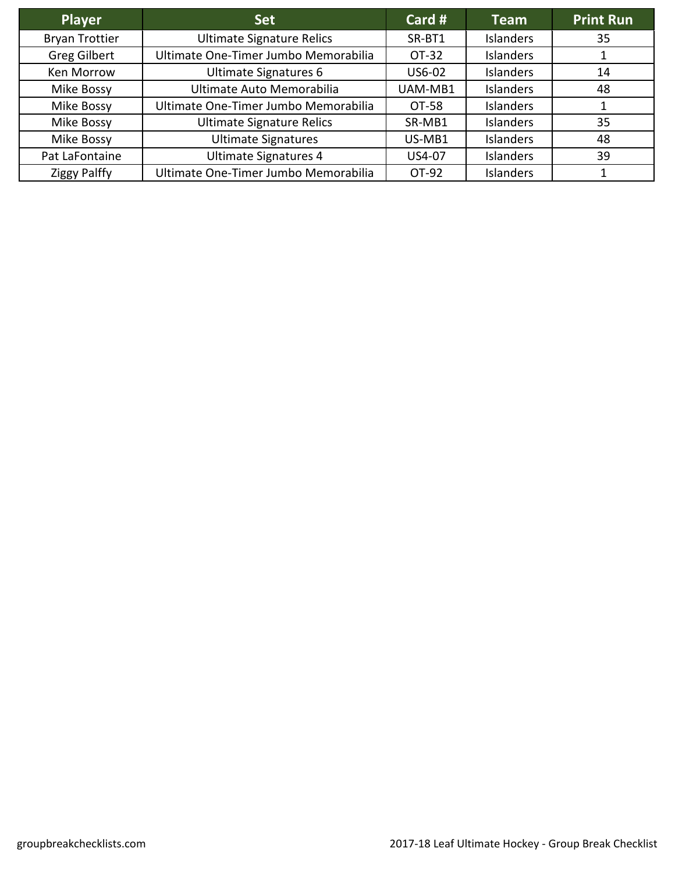| <b>Player</b>         | <b>Set</b>                           | Card $#$ | <b>Team</b>      | <b>Print Run</b> |
|-----------------------|--------------------------------------|----------|------------------|------------------|
| <b>Bryan Trottier</b> | <b>Ultimate Signature Relics</b>     | SR-BT1   | <b>Islanders</b> | 35               |
| <b>Greg Gilbert</b>   | Ultimate One-Timer Jumbo Memorabilia | OT-32    | <b>Islanders</b> |                  |
| Ken Morrow            | Ultimate Signatures 6                | US6-02   | <b>Islanders</b> | 14               |
| Mike Bossy            | Ultimate Auto Memorabilia            | UAM-MB1  | <b>Islanders</b> | 48               |
| Mike Bossy            | Ultimate One-Timer Jumbo Memorabilia | OT-58    | <b>Islanders</b> |                  |
| Mike Bossy            | <b>Ultimate Signature Relics</b>     | SR-MB1   | Islanders        | 35               |
| Mike Bossy            | <b>Ultimate Signatures</b>           | US-MB1   | <b>Islanders</b> | 48               |
| Pat LaFontaine        | Ultimate Signatures 4                | US4-07   | <b>Islanders</b> | 39               |
| <b>Ziggy Palffy</b>   | Ultimate One-Timer Jumbo Memorabilia | OT-92    | <b>Islanders</b> |                  |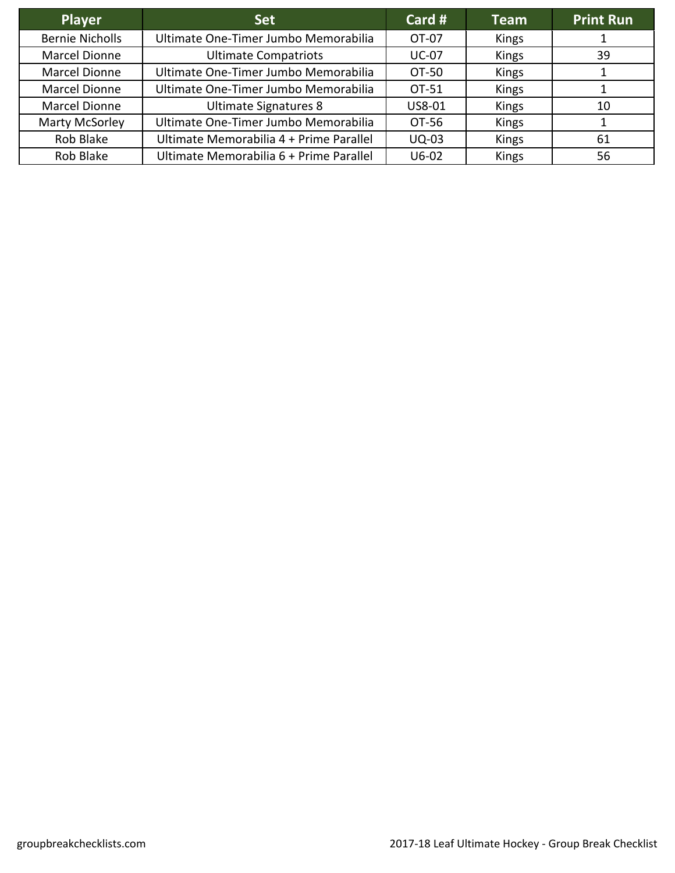| <b>Player</b>          | <b>Set</b>                              | Card #       | <b>Team</b> | <b>Print Run</b> |
|------------------------|-----------------------------------------|--------------|-------------|------------------|
| <b>Bernie Nicholls</b> | Ultimate One-Timer Jumbo Memorabilia    | OT-07        | Kings       |                  |
| Marcel Dionne          | <b>Ultimate Compatriots</b>             | <b>UC-07</b> | Kings       | 39               |
| Marcel Dionne          | Ultimate One-Timer Jumbo Memorabilia    | OT-50        | Kings       |                  |
| Marcel Dionne          | Ultimate One-Timer Jumbo Memorabilia    | OT-51        | Kings       |                  |
| Marcel Dionne          | <b>Ultimate Signatures 8</b>            | US8-01       | Kings       | 10               |
| Marty McSorley         | Ultimate One-Timer Jumbo Memorabilia    | OT-56        | Kings       |                  |
| Rob Blake              | Ultimate Memorabilia 4 + Prime Parallel | <b>UQ-03</b> | Kings       | 61               |
| Rob Blake              | Ultimate Memorabilia 6 + Prime Parallel | $U6-02$      | Kings       | 56               |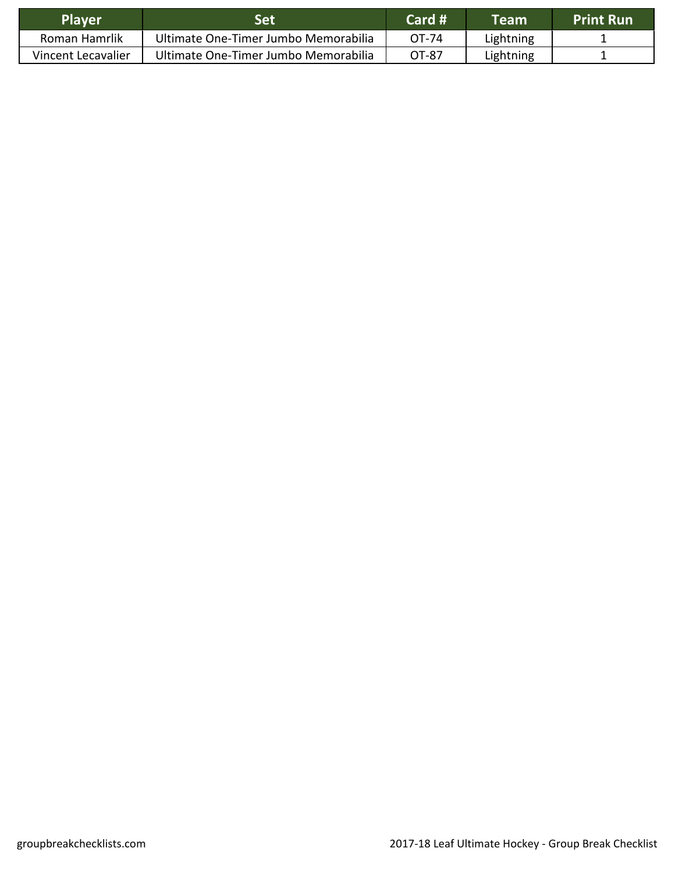| <b>Player</b>      | Set                                  | Card # | Team      | <b>Print Run</b> |
|--------------------|--------------------------------------|--------|-----------|------------------|
| Roman Hamrlik      | Ultimate One-Timer Jumbo Memorabilia | OT-74  | Lightning |                  |
| Vincent Lecavalier | Ultimate One-Timer Jumbo Memorabilia | OT-87  | Lightning |                  |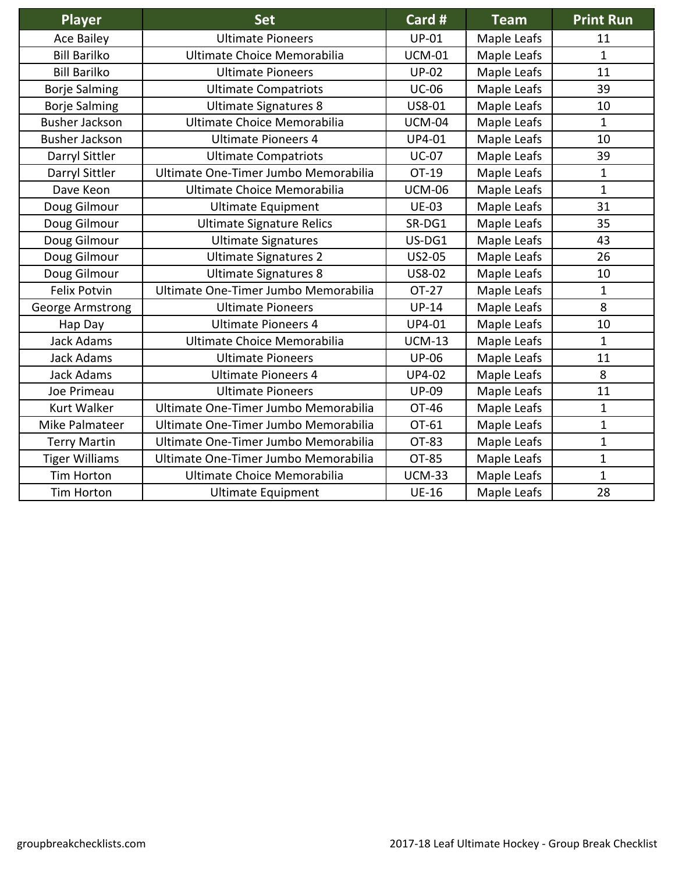| <b>Player</b>         | <b>Set</b>                           | Card #        | <b>Team</b> | <b>Print Run</b> |
|-----------------------|--------------------------------------|---------------|-------------|------------------|
| <b>Ace Bailey</b>     | <b>Ultimate Pioneers</b>             | <b>UP-01</b>  | Maple Leafs | 11               |
| <b>Bill Barilko</b>   | Ultimate Choice Memorabilia          | <b>UCM-01</b> | Maple Leafs | $\mathbf{1}$     |
| <b>Bill Barilko</b>   | <b>Ultimate Pioneers</b>             | <b>UP-02</b>  | Maple Leafs | 11               |
| <b>Borje Salming</b>  | <b>Ultimate Compatriots</b>          | <b>UC-06</b>  | Maple Leafs | 39               |
| <b>Borje Salming</b>  | <b>Ultimate Signatures 8</b>         | US8-01        | Maple Leafs | 10               |
| <b>Busher Jackson</b> | Ultimate Choice Memorabilia          | <b>UCM-04</b> | Maple Leafs | $\mathbf{1}$     |
| <b>Busher Jackson</b> | <b>Ultimate Pioneers 4</b>           | UP4-01        | Maple Leafs | 10               |
| Darryl Sittler        | <b>Ultimate Compatriots</b>          | <b>UC-07</b>  | Maple Leafs | 39               |
| Darryl Sittler        | Ultimate One-Timer Jumbo Memorabilia | OT-19         | Maple Leafs | $\mathbf 1$      |
| Dave Keon             | Ultimate Choice Memorabilia          | <b>UCM-06</b> | Maple Leafs | $\mathbf{1}$     |
| Doug Gilmour          | <b>Ultimate Equipment</b>            | <b>UE-03</b>  | Maple Leafs | 31               |
| Doug Gilmour          | <b>Ultimate Signature Relics</b>     | SR-DG1        | Maple Leafs | 35               |
| Doug Gilmour          | <b>Ultimate Signatures</b>           | US-DG1        | Maple Leafs | 43               |
| Doug Gilmour          | <b>Ultimate Signatures 2</b>         | US2-05        | Maple Leafs | 26               |
| Doug Gilmour          | <b>Ultimate Signatures 8</b>         | US8-02        | Maple Leafs | 10               |
| <b>Felix Potvin</b>   | Ultimate One-Timer Jumbo Memorabilia | OT-27         | Maple Leafs | $\mathbf{1}$     |
| George Armstrong      | <b>Ultimate Pioneers</b>             | <b>UP-14</b>  | Maple Leafs | 8                |
| Hap Day               | <b>Ultimate Pioneers 4</b>           | UP4-01        | Maple Leafs | 10               |
| <b>Jack Adams</b>     | Ultimate Choice Memorabilia          | <b>UCM-13</b> | Maple Leafs | $\mathbf{1}$     |
| Jack Adams            | <b>Ultimate Pioneers</b>             | <b>UP-06</b>  | Maple Leafs | 11               |
| <b>Jack Adams</b>     | <b>Ultimate Pioneers 4</b>           | <b>UP4-02</b> | Maple Leafs | 8                |
| Joe Primeau           | <b>Ultimate Pioneers</b>             | <b>UP-09</b>  | Maple Leafs | 11               |
| <b>Kurt Walker</b>    | Ultimate One-Timer Jumbo Memorabilia | OT-46         | Maple Leafs | $\mathbf{1}$     |
| Mike Palmateer        | Ultimate One-Timer Jumbo Memorabilia | OT-61         | Maple Leafs | $\mathbf{1}$     |
| <b>Terry Martin</b>   | Ultimate One-Timer Jumbo Memorabilia | OT-83         | Maple Leafs | $\mathbf{1}$     |
| <b>Tiger Williams</b> | Ultimate One-Timer Jumbo Memorabilia | OT-85         | Maple Leafs | $\mathbf{1}$     |
| <b>Tim Horton</b>     | Ultimate Choice Memorabilia          | <b>UCM-33</b> | Maple Leafs | $\mathbf{1}$     |
| <b>Tim Horton</b>     | <b>Ultimate Equipment</b>            | <b>UE-16</b>  | Maple Leafs | 28               |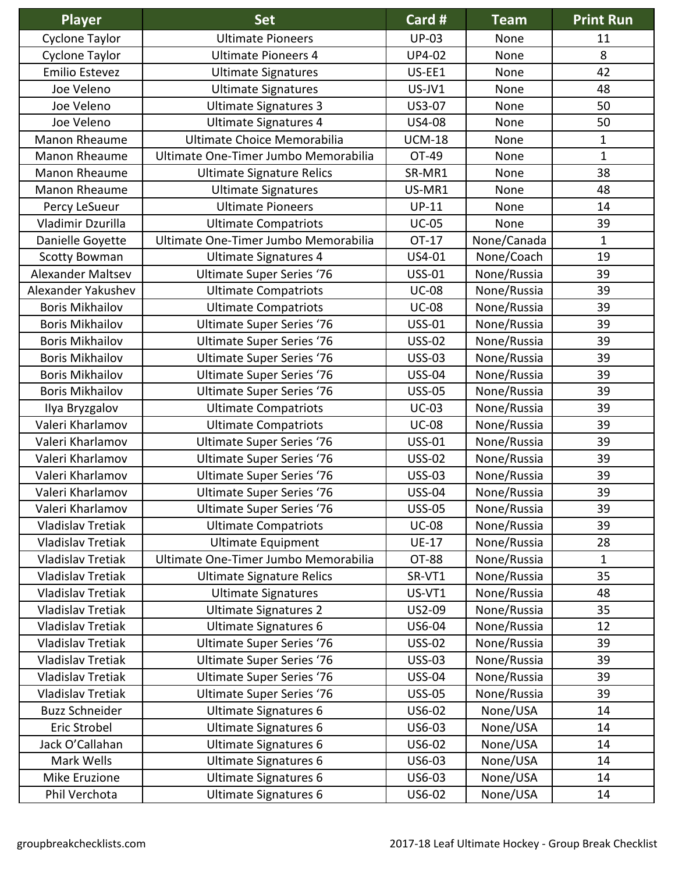| <b>Player</b>            | <b>Set</b>                           | Card #        | <b>Team</b> | <b>Print Run</b> |
|--------------------------|--------------------------------------|---------------|-------------|------------------|
| Cyclone Taylor           | <b>Ultimate Pioneers</b>             | <b>UP-03</b>  | None        | 11               |
| Cyclone Taylor           | <b>Ultimate Pioneers 4</b>           | <b>UP4-02</b> | None        | 8                |
| Emilio Estevez           | <b>Ultimate Signatures</b>           | US-EE1        | None        | 42               |
| Joe Veleno               | <b>Ultimate Signatures</b>           | US-JV1        | None        | 48               |
| Joe Veleno               | <b>Ultimate Signatures 3</b>         | US3-07        | None        | 50               |
| Joe Veleno               | <b>Ultimate Signatures 4</b>         | US4-08        | None        | 50               |
| Manon Rheaume            | Ultimate Choice Memorabilia          | <b>UCM-18</b> | None        | $\mathbf 1$      |
| Manon Rheaume            | Ultimate One-Timer Jumbo Memorabilia | OT-49         | None        | $\mathbf{1}$     |
| Manon Rheaume            | <b>Ultimate Signature Relics</b>     | SR-MR1        | None        | 38               |
| Manon Rheaume            | <b>Ultimate Signatures</b>           | US-MR1        | None        | 48               |
| Percy LeSueur            | <b>Ultimate Pioneers</b>             | $UP-11$       | None        | 14               |
| Vladimir Dzurilla        | <b>Ultimate Compatriots</b>          | <b>UC-05</b>  | None        | 39               |
| Danielle Goyette         | Ultimate One-Timer Jumbo Memorabilia | OT-17         | None/Canada | $\mathbf{1}$     |
| <b>Scotty Bowman</b>     | <b>Ultimate Signatures 4</b>         | US4-01        | None/Coach  | 19               |
| Alexander Maltsev        | <b>Ultimate Super Series '76</b>     | <b>USS-01</b> | None/Russia | 39               |
| Alexander Yakushev       | <b>Ultimate Compatriots</b>          | <b>UC-08</b>  | None/Russia | 39               |
| <b>Boris Mikhailov</b>   | <b>Ultimate Compatriots</b>          | <b>UC-08</b>  | None/Russia | 39               |
| <b>Boris Mikhailov</b>   | <b>Ultimate Super Series '76</b>     | <b>USS-01</b> | None/Russia | 39               |
| <b>Boris Mikhailov</b>   | <b>Ultimate Super Series '76</b>     | <b>USS-02</b> | None/Russia | 39               |
| <b>Boris Mikhailov</b>   | <b>Ultimate Super Series '76</b>     | <b>USS-03</b> | None/Russia | 39               |
| <b>Boris Mikhailov</b>   | <b>Ultimate Super Series '76</b>     | <b>USS-04</b> | None/Russia | 39               |
| <b>Boris Mikhailov</b>   | <b>Ultimate Super Series '76</b>     | <b>USS-05</b> | None/Russia | 39               |
| Ilya Bryzgalov           | <b>Ultimate Compatriots</b>          | $UC-03$       | None/Russia | 39               |
| Valeri Kharlamov         | <b>Ultimate Compatriots</b>          | <b>UC-08</b>  | None/Russia | 39               |
| Valeri Kharlamov         | <b>Ultimate Super Series '76</b>     | <b>USS-01</b> | None/Russia | 39               |
| Valeri Kharlamov         | <b>Ultimate Super Series '76</b>     | <b>USS-02</b> | None/Russia | 39               |
| Valeri Kharlamov         | <b>Ultimate Super Series '76</b>     | <b>USS-03</b> | None/Russia | 39               |
| Valeri Kharlamov         | <b>Ultimate Super Series '76</b>     | <b>USS-04</b> | None/Russia | 39               |
| Valeri Kharlamov         | <b>Ultimate Super Series '76</b>     | <b>USS-05</b> | None/Russia | 39               |
| <b>Vladislav Tretiak</b> | <b>Ultimate Compatriots</b>          | <b>UC-08</b>  | None/Russia | 39               |
| <b>Vladislav Tretiak</b> | <b>Ultimate Equipment</b>            | <b>UE-17</b>  | None/Russia | 28               |
| <b>Vladislav Tretiak</b> | Ultimate One-Timer Jumbo Memorabilia | OT-88         | None/Russia | $\mathbf{1}$     |
| <b>Vladislav Tretiak</b> | <b>Ultimate Signature Relics</b>     | SR-VT1        | None/Russia | 35               |
| <b>Vladislav Tretiak</b> | <b>Ultimate Signatures</b>           | US-VT1        | None/Russia | 48               |
| <b>Vladislav Tretiak</b> | <b>Ultimate Signatures 2</b>         | US2-09        | None/Russia | 35               |
| <b>Vladislav Tretiak</b> | <b>Ultimate Signatures 6</b>         | US6-04        | None/Russia | 12               |
| <b>Vladislav Tretiak</b> | <b>Ultimate Super Series '76</b>     | <b>USS-02</b> | None/Russia | 39               |
| <b>Vladislav Tretiak</b> | <b>Ultimate Super Series '76</b>     | <b>USS-03</b> | None/Russia | 39               |
| <b>Vladislav Tretiak</b> | <b>Ultimate Super Series '76</b>     | <b>USS-04</b> | None/Russia | 39               |
| <b>Vladislav Tretiak</b> | <b>Ultimate Super Series '76</b>     | <b>USS-05</b> | None/Russia | 39               |
| <b>Buzz Schneider</b>    | <b>Ultimate Signatures 6</b>         | US6-02        | None/USA    | 14               |
| Eric Strobel             | <b>Ultimate Signatures 6</b>         | US6-03        | None/USA    | 14               |
| Jack O'Callahan          | <b>Ultimate Signatures 6</b>         | US6-02        | None/USA    | 14               |
| Mark Wells               | <b>Ultimate Signatures 6</b>         | US6-03        | None/USA    | 14               |
| Mike Eruzione            | <b>Ultimate Signatures 6</b>         | US6-03        | None/USA    | 14               |
| Phil Verchota            | <b>Ultimate Signatures 6</b>         | US6-02        | None/USA    | 14               |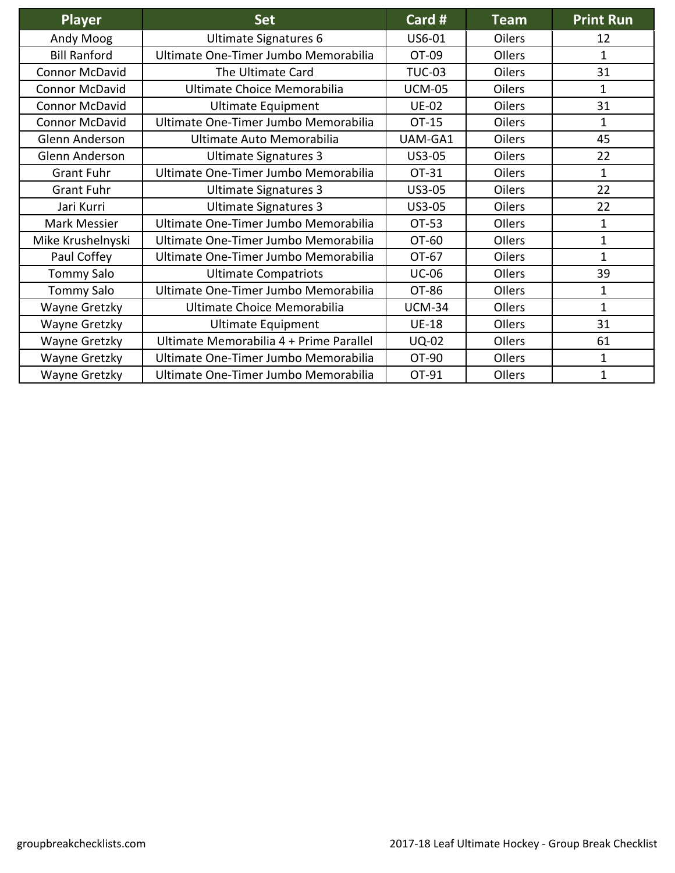| <b>Player</b>         | <b>Set</b>                              | Card #        | <b>Team</b>   | <b>Print Run</b> |
|-----------------------|-----------------------------------------|---------------|---------------|------------------|
| Andy Moog             | <b>Ultimate Signatures 6</b>            | US6-01        | <b>Oilers</b> | 12               |
| <b>Bill Ranford</b>   | Ultimate One-Timer Jumbo Memorabilia    | OT-09         | Ollers        | $\mathbf{1}$     |
| <b>Connor McDavid</b> | The Ultimate Card                       | <b>TUC-03</b> | <b>Oilers</b> | 31               |
| <b>Connor McDavid</b> | Ultimate Choice Memorabilia             | <b>UCM-05</b> | <b>Oilers</b> | 1                |
| <b>Connor McDavid</b> | <b>Ultimate Equipment</b>               | <b>UE-02</b>  | <b>Oilers</b> | 31               |
| <b>Connor McDavid</b> | Ultimate One-Timer Jumbo Memorabilia    | OT-15         | <b>Oilers</b> | 1                |
| Glenn Anderson        | Ultimate Auto Memorabilia               | UAM-GA1       | <b>Oilers</b> | 45               |
| Glenn Anderson        | Ultimate Signatures 3                   | <b>US3-05</b> | <b>Oilers</b> | 22               |
| <b>Grant Fuhr</b>     | Ultimate One-Timer Jumbo Memorabilia    | OT-31         | Oilers        | $\mathbf{1}$     |
| <b>Grant Fuhr</b>     | <b>Ultimate Signatures 3</b>            | US3-05        | <b>Oilers</b> | 22               |
| Jari Kurri            | <b>Ultimate Signatures 3</b>            | US3-05        | Oilers        | 22               |
| Mark Messier          | Ultimate One-Timer Jumbo Memorabilia    | OT-53         | Ollers        | $\mathbf{1}$     |
| Mike Krushelnyski     | Ultimate One-Timer Jumbo Memorabilia    | OT-60         | Ollers        | $\mathbf 1$      |
| Paul Coffey           | Ultimate One-Timer Jumbo Memorabilia    | OT-67         | Oilers        | $\mathbf{1}$     |
| <b>Tommy Salo</b>     | <b>Ultimate Compatriots</b>             | <b>UC-06</b>  | Ollers        | 39               |
| <b>Tommy Salo</b>     | Ultimate One-Timer Jumbo Memorabilia    | OT-86         | Ollers        | 1                |
| Wayne Gretzky         | Ultimate Choice Memorabilia             | <b>UCM-34</b> | Ollers        | 1                |
| Wayne Gretzky         | <b>Ultimate Equipment</b>               | <b>UE-18</b>  | Ollers        | 31               |
| Wayne Gretzky         | Ultimate Memorabilia 4 + Prime Parallel | <b>UQ-02</b>  | Ollers        | 61               |
| Wayne Gretzky         | Ultimate One-Timer Jumbo Memorabilia    | OT-90         | Ollers        | 1                |
| Wayne Gretzky         | Ultimate One-Timer Jumbo Memorabilia    | OT-91         | Ollers        | $\mathbf{1}$     |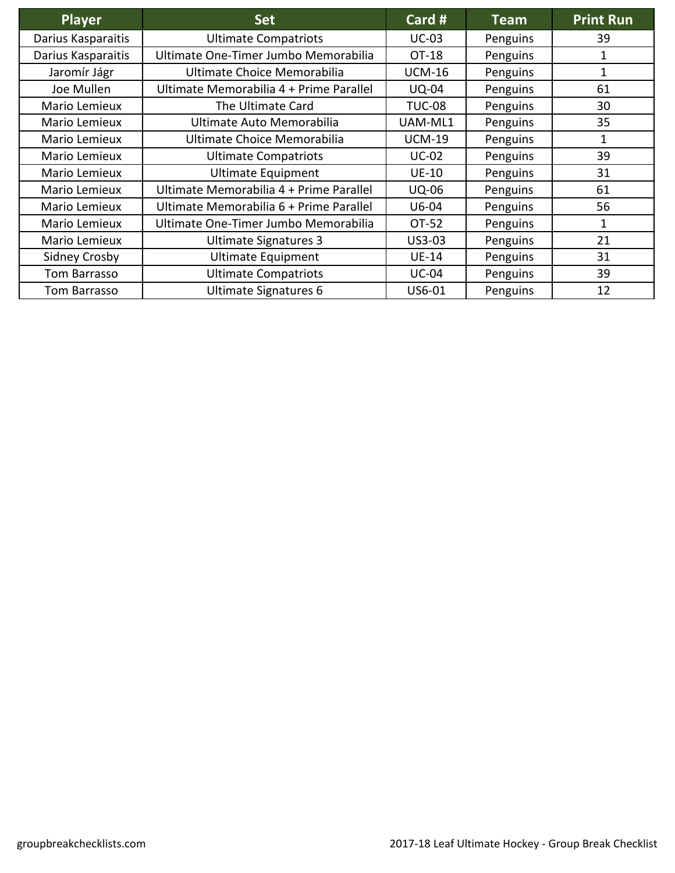| <b>Player</b>      | <b>Set</b>                              | Card #        | <b>Team</b> | <b>Print Run</b> |
|--------------------|-----------------------------------------|---------------|-------------|------------------|
| Darius Kasparaitis | <b>Ultimate Compatriots</b>             | <b>UC-03</b>  | Penguins    | 39               |
| Darius Kasparaitis | Ultimate One-Timer Jumbo Memorabilia    | OT-18         | Penguins    | 1                |
| Jaromír Jágr       | Ultimate Choice Memorabilia             | <b>UCM-16</b> | Penguins    | 1                |
| Joe Mullen         | Ultimate Memorabilia 4 + Prime Parallel | <b>UQ-04</b>  | Penguins    | 61               |
| Mario Lemieux      | The Ultimate Card                       | <b>TUC-08</b> | Penguins    | 30               |
| Mario Lemieux      | Ultimate Auto Memorabilia               | UAM-ML1       | Penguins    | 35               |
| Mario Lemieux      | Ultimate Choice Memorabilia             | <b>UCM-19</b> | Penguins    | 1                |
| Mario Lemieux      | <b>Ultimate Compatriots</b>             | <b>UC-02</b>  | Penguins    | 39               |
| Mario Lemieux      | <b>Ultimate Equipment</b>               | <b>UE-10</b>  | Penguins    | 31               |
| Mario Lemieux      | Ultimate Memorabilia 4 + Prime Parallel | <b>UQ-06</b>  | Penguins    | 61               |
| Mario Lemieux      | Ultimate Memorabilia 6 + Prime Parallel | $U6-04$       | Penguins    | 56               |
| Mario Lemieux      | Ultimate One-Timer Jumbo Memorabilia    | OT-52         | Penguins    | 1                |
| Mario Lemieux      | Ultimate Signatures 3                   | US3-03        | Penguins    | 21               |
| Sidney Crosby      | <b>Ultimate Equipment</b>               | <b>UE-14</b>  | Penguins    | 31               |
| Tom Barrasso       | <b>Ultimate Compatriots</b>             | <b>UC-04</b>  | Penguins    | 39               |
| Tom Barrasso       | Ultimate Signatures 6                   | US6-01        | Penguins    | 12               |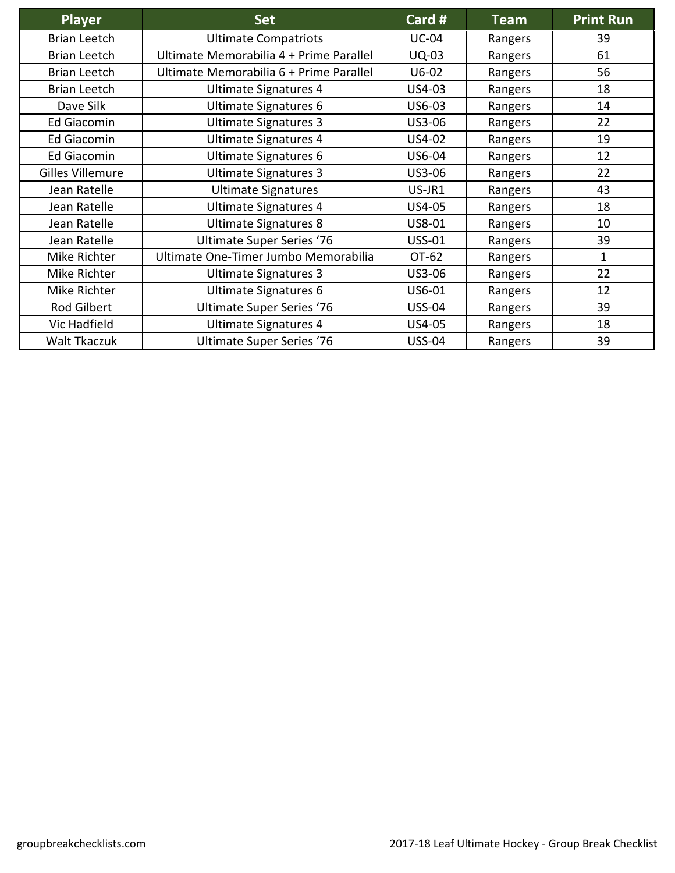| <b>Player</b>           | <b>Set</b>                              | Card #        | <b>Team</b> | <b>Print Run</b> |
|-------------------------|-----------------------------------------|---------------|-------------|------------------|
| <b>Brian Leetch</b>     | <b>Ultimate Compatriots</b>             | <b>UC-04</b>  | Rangers     | 39               |
| <b>Brian Leetch</b>     | Ultimate Memorabilia 4 + Prime Parallel | <b>UQ-03</b>  | Rangers     | 61               |
| <b>Brian Leetch</b>     | Ultimate Memorabilia 6 + Prime Parallel | $U6-02$       | Rangers     | 56               |
| <b>Brian Leetch</b>     | <b>Ultimate Signatures 4</b>            | US4-03        | Rangers     | 18               |
| Dave Silk               | Ultimate Signatures 6                   | US6-03        | Rangers     | 14               |
| <b>Ed Giacomin</b>      | <b>Ultimate Signatures 3</b>            | US3-06        | Rangers     | 22               |
| <b>Ed Giacomin</b>      | Ultimate Signatures 4                   | US4-02        | Rangers     | 19               |
| <b>Ed Giacomin</b>      | Ultimate Signatures 6                   | US6-04        | Rangers     | 12               |
| <b>Gilles Villemure</b> | <b>Ultimate Signatures 3</b>            | US3-06        | Rangers     | 22               |
| Jean Ratelle            | <b>Ultimate Signatures</b>              | US-JR1        | Rangers     | 43               |
| Jean Ratelle            | Ultimate Signatures 4                   | <b>US4-05</b> | Rangers     | 18               |
| Jean Ratelle            | <b>Ultimate Signatures 8</b>            | US8-01        | Rangers     | 10               |
| Jean Ratelle            | <b>Ultimate Super Series '76</b>        | <b>USS-01</b> | Rangers     | 39               |
| Mike Richter            | Ultimate One-Timer Jumbo Memorabilia    | OT-62         | Rangers     | 1                |
| Mike Richter            | <b>Ultimate Signatures 3</b>            | US3-06        | Rangers     | 22               |
| Mike Richter            | Ultimate Signatures 6                   | US6-01        | Rangers     | 12               |
| Rod Gilbert             | <b>Ultimate Super Series '76</b>        | <b>USS-04</b> | Rangers     | 39               |
| Vic Hadfield            | Ultimate Signatures 4                   | US4-05        | Rangers     | 18               |
| Walt Tkaczuk            | <b>Ultimate Super Series '76</b>        | <b>USS-04</b> | Rangers     | 39               |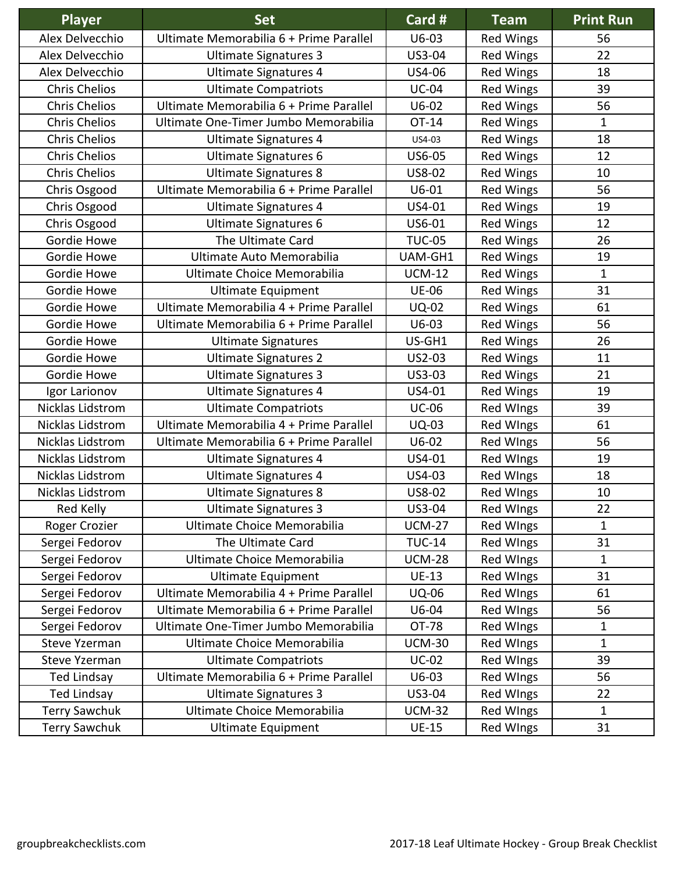| Player               | <b>Set</b>                              | Card #        | <b>Team</b>      | <b>Print Run</b> |
|----------------------|-----------------------------------------|---------------|------------------|------------------|
| Alex Delvecchio      | Ultimate Memorabilia 6 + Prime Parallel | $U6-03$       | <b>Red Wings</b> | 56               |
| Alex Delvecchio      | <b>Ultimate Signatures 3</b>            | US3-04        | <b>Red Wings</b> | 22               |
| Alex Delvecchio      | <b>Ultimate Signatures 4</b>            | US4-06        | <b>Red Wings</b> | 18               |
| <b>Chris Chelios</b> | <b>Ultimate Compatriots</b>             | <b>UC-04</b>  | <b>Red Wings</b> | 39               |
| <b>Chris Chelios</b> | Ultimate Memorabilia 6 + Prime Parallel | $U6-02$       | <b>Red Wings</b> | 56               |
| <b>Chris Chelios</b> | Ultimate One-Timer Jumbo Memorabilia    | OT-14         | <b>Red Wings</b> | $\mathbf{1}$     |
| <b>Chris Chelios</b> | Ultimate Signatures 4                   | US4-03        | <b>Red Wings</b> | 18               |
| <b>Chris Chelios</b> | <b>Ultimate Signatures 6</b>            | US6-05        | <b>Red Wings</b> | 12               |
| <b>Chris Chelios</b> | <b>Ultimate Signatures 8</b>            | US8-02        | <b>Red Wings</b> | 10               |
| Chris Osgood         | Ultimate Memorabilia 6 + Prime Parallel | $U6-01$       | <b>Red Wings</b> | 56               |
| Chris Osgood         | Ultimate Signatures 4                   | US4-01        | <b>Red Wings</b> | 19               |
| Chris Osgood         | <b>Ultimate Signatures 6</b>            | US6-01        | <b>Red Wings</b> | 12               |
| Gordie Howe          | The Ultimate Card                       | <b>TUC-05</b> | <b>Red Wings</b> | 26               |
| Gordie Howe          | Ultimate Auto Memorabilia               | UAM-GH1       | <b>Red Wings</b> | 19               |
| Gordie Howe          | Ultimate Choice Memorabilia             | <b>UCM-12</b> | <b>Red Wings</b> | $\mathbf{1}$     |
| Gordie Howe          | <b>Ultimate Equipment</b>               | <b>UE-06</b>  | <b>Red Wings</b> | 31               |
| Gordie Howe          | Ultimate Memorabilia 4 + Prime Parallel | <b>UQ-02</b>  | <b>Red Wings</b> | 61               |
| Gordie Howe          | Ultimate Memorabilia 6 + Prime Parallel | $U6-03$       | <b>Red Wings</b> | 56               |
| Gordie Howe          | <b>Ultimate Signatures</b>              | US-GH1        | <b>Red Wings</b> | 26               |
| Gordie Howe          | <b>Ultimate Signatures 2</b>            | US2-03        | <b>Red Wings</b> | 11               |
| Gordie Howe          | <b>Ultimate Signatures 3</b>            | US3-03        | <b>Red Wings</b> | 21               |
| Igor Larionov        | <b>Ultimate Signatures 4</b>            | US4-01        | <b>Red Wings</b> | 19               |
| Nicklas Lidstrom     | <b>Ultimate Compatriots</b>             | <b>UC-06</b>  | <b>Red WIngs</b> | 39               |
| Nicklas Lidstrom     | Ultimate Memorabilia 4 + Prime Parallel | <b>UQ-03</b>  | <b>Red WIngs</b> | 61               |
| Nicklas Lidstrom     | Ultimate Memorabilia 6 + Prime Parallel | $U6-02$       | <b>Red WIngs</b> | 56               |
| Nicklas Lidstrom     | Ultimate Signatures 4                   | US4-01        | <b>Red Wings</b> | 19               |
| Nicklas Lidstrom     | <b>Ultimate Signatures 4</b>            | US4-03        | <b>Red WIngs</b> | 18               |
| Nicklas Lidstrom     | <b>Ultimate Signatures 8</b>            | US8-02        | <b>Red Wings</b> | 10               |
| Red Kelly            | <b>Ultimate Signatures 3</b>            | US3-04        | Red WIngs        | 22               |
| Roger Crozier        | Ultimate Choice Memorabilia             | <b>UCM-27</b> | <b>Red WIngs</b> | 1                |
| Sergei Fedorov       | The Ultimate Card                       | <b>TUC-14</b> | Red WIngs        | 31               |
| Sergei Fedorov       | Ultimate Choice Memorabilia             | <b>UCM-28</b> | Red WIngs        | 1                |
| Sergei Fedorov       | <b>Ultimate Equipment</b>               | <b>UE-13</b>  | Red WIngs        | 31               |
| Sergei Fedorov       | Ultimate Memorabilia 4 + Prime Parallel | <b>UQ-06</b>  | Red WIngs        | 61               |
| Sergei Fedorov       | Ultimate Memorabilia 6 + Prime Parallel | U6-04         | <b>Red WIngs</b> | 56               |
| Sergei Fedorov       | Ultimate One-Timer Jumbo Memorabilia    | OT-78         | Red WIngs        | 1                |
| Steve Yzerman        | Ultimate Choice Memorabilia             | <b>UCM-30</b> | Red WIngs        | $\mathbf{1}$     |
| <b>Steve Yzerman</b> | <b>Ultimate Compatriots</b>             | $UC-02$       | <b>Red WIngs</b> | 39               |
| Ted Lindsay          | Ultimate Memorabilia 6 + Prime Parallel | U6-03         | Red WIngs        | 56               |
| <b>Ted Lindsay</b>   | <b>Ultimate Signatures 3</b>            | US3-04        | Red WIngs        | 22               |
| <b>Terry Sawchuk</b> | Ultimate Choice Memorabilia             | <b>UCM-32</b> | Red WIngs        | 1                |
| <b>Terry Sawchuk</b> | <b>Ultimate Equipment</b>               | <b>UE-15</b>  | <b>Red WIngs</b> | 31               |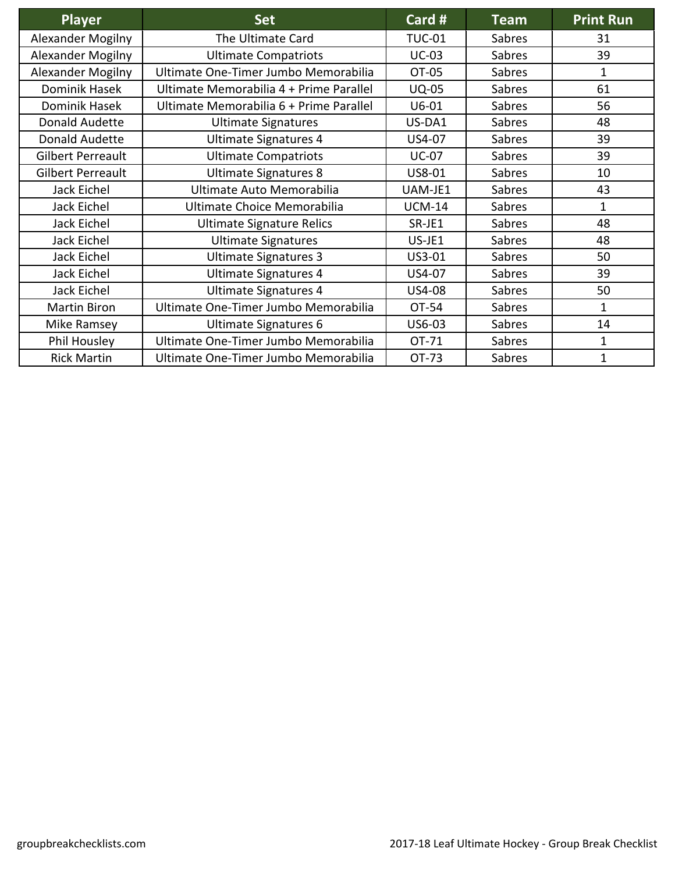| <b>Player</b>            | <b>Set</b>                              | Card #        | <b>Team</b> | <b>Print Run</b> |
|--------------------------|-----------------------------------------|---------------|-------------|------------------|
| Alexander Mogilny        | The Ultimate Card                       | <b>TUC-01</b> | Sabres      | 31               |
| Alexander Mogilny        | <b>Ultimate Compatriots</b>             | <b>UC-03</b>  | Sabres      | 39               |
| <b>Alexander Mogilny</b> | Ultimate One-Timer Jumbo Memorabilia    | OT-05         | Sabres      | 1                |
| Dominik Hasek            | Ultimate Memorabilia 4 + Prime Parallel | <b>UQ-05</b>  | Sabres      | 61               |
| Dominik Hasek            | Ultimate Memorabilia 6 + Prime Parallel | $U6-01$       | Sabres      | 56               |
| Donald Audette           | <b>Ultimate Signatures</b>              | US-DA1        | Sabres      | 48               |
| Donald Audette           | Ultimate Signatures 4                   | US4-07        | Sabres      | 39               |
| Gilbert Perreault        | <b>Ultimate Compatriots</b>             | <b>UC-07</b>  | Sabres      | 39               |
| <b>Gilbert Perreault</b> | <b>Ultimate Signatures 8</b>            | US8-01        | Sabres      | 10               |
| Jack Eichel              | Ultimate Auto Memorabilia               | UAM-JE1       | Sabres      | 43               |
| Jack Eichel              | Ultimate Choice Memorabilia             | <b>UCM-14</b> | Sabres      | 1                |
| Jack Eichel              | <b>Ultimate Signature Relics</b>        | SR-JE1        | Sabres      | 48               |
| Jack Eichel              | <b>Ultimate Signatures</b>              | US-JE1        | Sabres      | 48               |
| Jack Eichel              | <b>Ultimate Signatures 3</b>            | US3-01        | Sabres      | 50               |
| Jack Eichel              | Ultimate Signatures 4                   | US4-07        | Sabres      | 39               |
| Jack Eichel              | <b>Ultimate Signatures 4</b>            | <b>US4-08</b> | Sabres      | 50               |
| <b>Martin Biron</b>      | Ultimate One-Timer Jumbo Memorabilia    | OT-54         | Sabres      | 1                |
| Mike Ramsey              | Ultimate Signatures 6                   | US6-03        | Sabres      | 14               |
| Phil Housley             | Ultimate One-Timer Jumbo Memorabilia    | OT-71         | Sabres      | 1                |
| <b>Rick Martin</b>       | Ultimate One-Timer Jumbo Memorabilia    | OT-73         | Sabres      | 1                |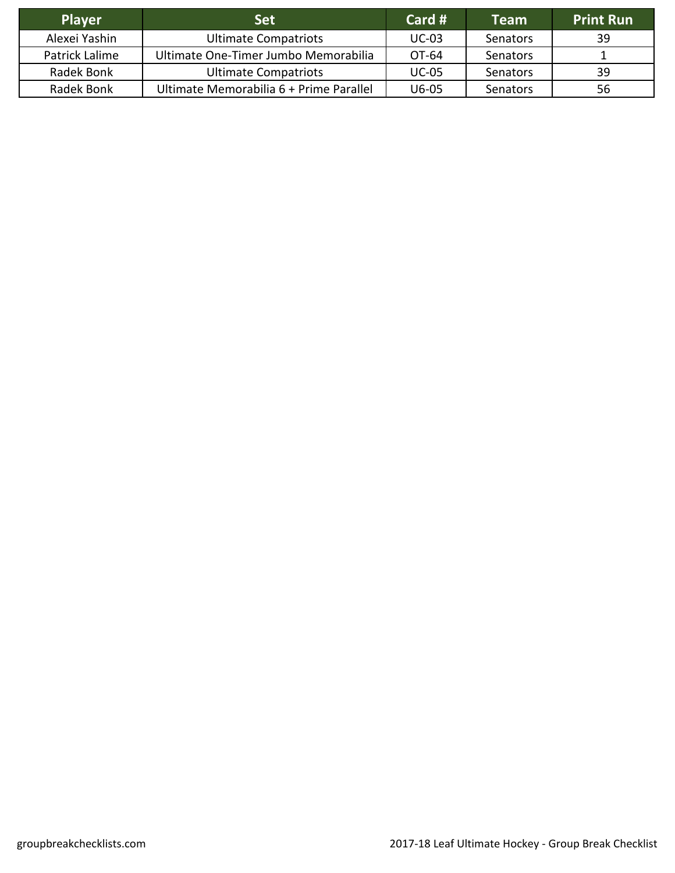| <b>Player</b>  | <b>Set</b>                              | Card #       | <b>Team</b> | <b>Print Run</b> |
|----------------|-----------------------------------------|--------------|-------------|------------------|
| Alexei Yashin  | <b>Ultimate Compatriots</b>             | $UC-03$      | Senators    | 39               |
| Patrick Lalime | Ultimate One-Timer Jumbo Memorabilia    | OT-64        | Senators    |                  |
| Radek Bonk     | <b>Ultimate Compatriots</b>             | <b>UC-05</b> | Senators    | 39               |
| Radek Bonk     | Ultimate Memorabilia 6 + Prime Parallel | U6-05        | Senators    | 56               |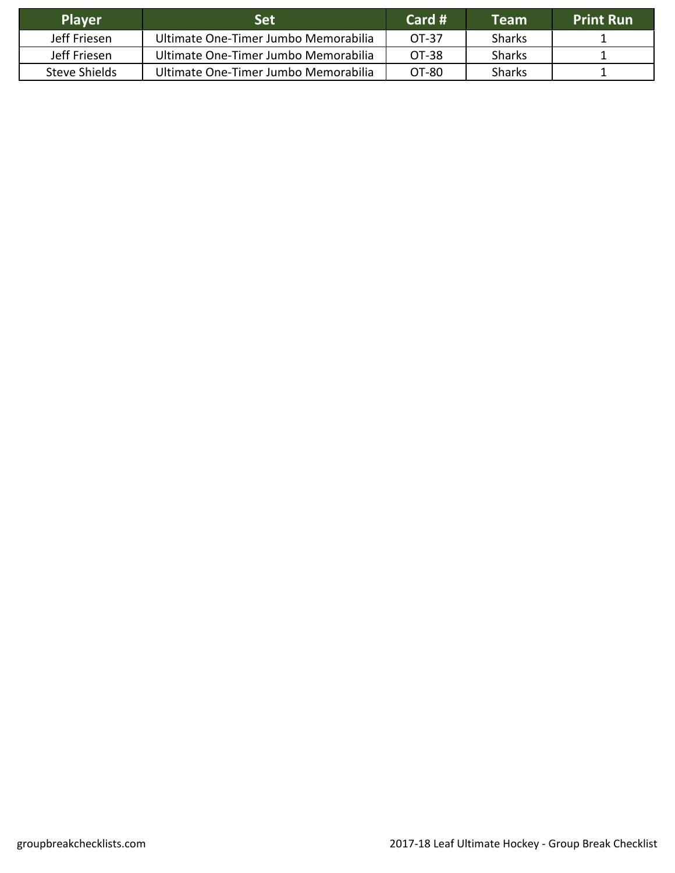| <b>Player</b> | <b>Set</b>                           | Card $#$ | <b>Team</b>   | <b>Print Run</b> |
|---------------|--------------------------------------|----------|---------------|------------------|
| Jeff Friesen  | Ultimate One-Timer Jumbo Memorabilia | OT-37    | <b>Sharks</b> |                  |
| Jeff Friesen  | Ultimate One-Timer Jumbo Memorabilia | OT-38    | <b>Sharks</b> |                  |
| Steve Shields | Ultimate One-Timer Jumbo Memorabilia | OT-80    | <b>Sharks</b> |                  |